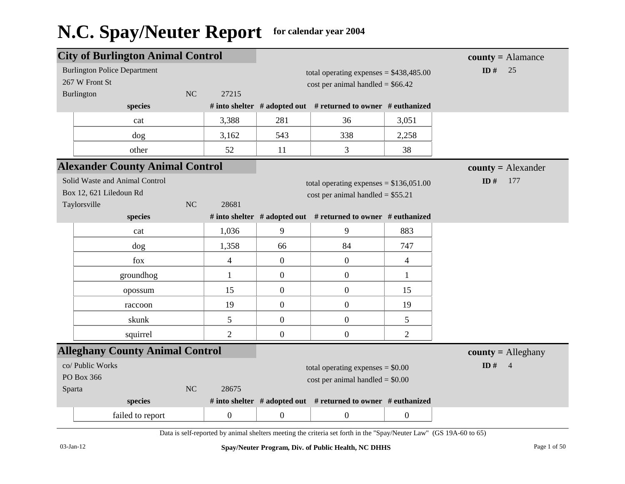|                                                                                                 | <b>City of Burlington Animal Control</b>              |    |                                                                                |                  |                                                                                |                  | $county = \text{Alamance}$ |
|-------------------------------------------------------------------------------------------------|-------------------------------------------------------|----|--------------------------------------------------------------------------------|------------------|--------------------------------------------------------------------------------|------------------|----------------------------|
|                                                                                                 | <b>Burlington Police Department</b><br>267 W Front St |    |                                                                                |                  | total operating expenses = $$438,485.00$<br>$cost per animal handled = $66.42$ |                  | ID $#$<br>25               |
|                                                                                                 | Burlington                                            | NC | 27215                                                                          |                  |                                                                                |                  |                            |
|                                                                                                 | species                                               |    |                                                                                |                  | # into shelter $#$ adopted out $#$ returned to owner $#$ euthanized            |                  |                            |
|                                                                                                 | cat                                                   |    | 3,388                                                                          | 281              | 36                                                                             | 3,051            |                            |
|                                                                                                 | dog                                                   |    | 3,162                                                                          | 543              | 338                                                                            | 2,258            |                            |
|                                                                                                 | other                                                 |    | 52                                                                             | 11               | 3                                                                              | 38               |                            |
|                                                                                                 | <b>Alexander County Animal Control</b>                |    |                                                                                |                  |                                                                                |                  | $county = Alexander$       |
| Solid Waste and Animal Control<br>Box 12, 621 Liledoun Rd<br><b>NC</b><br>28681<br>Taylorsville |                                                       |    | total operating expenses = $$136,051.00$<br>cost per animal handled = $$55.21$ | ID $#$<br>177    |                                                                                |                  |                            |
|                                                                                                 | species                                               |    |                                                                                |                  | # into shelter # adopted out # returned to owner # euthanized                  |                  |                            |
|                                                                                                 | cat                                                   |    | 1,036                                                                          | 9                | 9                                                                              | 883              |                            |
|                                                                                                 | dog                                                   |    | 1,358                                                                          | 66               | 84                                                                             | 747              |                            |
|                                                                                                 | fox                                                   |    | $\overline{4}$                                                                 | $\mathbf{0}$     | $\boldsymbol{0}$                                                               | $\overline{4}$   |                            |
|                                                                                                 | groundhog                                             |    | $\mathbf{1}$                                                                   | $\mathbf{0}$     | $\boldsymbol{0}$                                                               | $\mathbf{1}$     |                            |
|                                                                                                 | opossum                                               |    | 15                                                                             | $\boldsymbol{0}$ | $\boldsymbol{0}$                                                               | 15               |                            |
|                                                                                                 | raccoon                                               |    | 19                                                                             | $\overline{0}$   | $\boldsymbol{0}$                                                               | 19               |                            |
|                                                                                                 | skunk                                                 |    | 5                                                                              | $\overline{0}$   | $\boldsymbol{0}$                                                               | 5                |                            |
|                                                                                                 | squirrel                                              |    | $\overline{2}$                                                                 | $\boldsymbol{0}$ | $\boldsymbol{0}$                                                               | $\overline{2}$   |                            |
|                                                                                                 | <b>Alleghany County Animal Control</b>                |    |                                                                                |                  |                                                                                |                  | $county =$ Alleghany       |
| Sparta                                                                                          | co/ Public Works<br>PO Box 366                        | NC | 28675                                                                          |                  | total operating expenses $= $0.00$<br>$cost$ per animal handled = $$0.00$      |                  | ID $#$<br>$\overline{4}$   |
|                                                                                                 | species                                               |    |                                                                                |                  | # into shelter # adopted out # returned to owner # euthanized                  |                  |                            |
|                                                                                                 | failed to report                                      |    | $\mathbf{0}$                                                                   | $\boldsymbol{0}$ | $\boldsymbol{0}$                                                               | $\boldsymbol{0}$ |                            |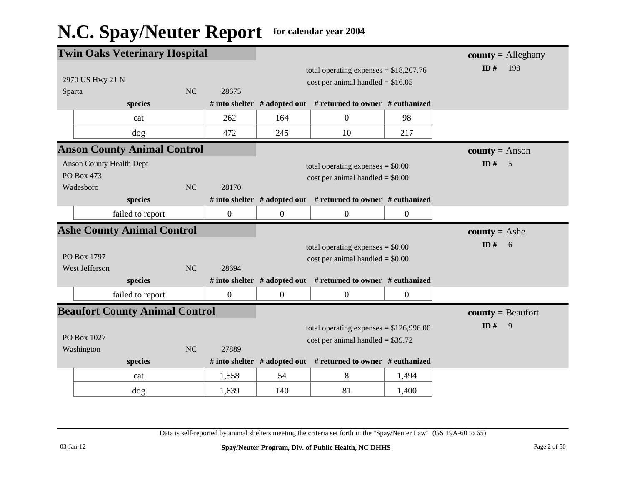|        | <b>Twin Oaks Veterinary Hospital</b>                       |    |                  |                |                                                                                |                  | $county =$ Alleghany  |
|--------|------------------------------------------------------------|----|------------------|----------------|--------------------------------------------------------------------------------|------------------|-----------------------|
| Sparta | 2970 US Hwy 21 N                                           | NC | 28675            |                | total operating expenses = $$18,207.76$<br>cost per animal handled = $$16.05$  |                  | ID#<br>198            |
|        | species                                                    |    |                  |                | # into shelter $#$ adopted out $#$ returned to owner $#$ euthanized            |                  |                       |
|        | cat                                                        |    | 262              | 164            | $\boldsymbol{0}$                                                               | 98               |                       |
|        | dog                                                        |    | 472              | 245            | 10                                                                             | 217              |                       |
|        | <b>Anson County Animal Control</b>                         |    |                  |                |                                                                                |                  | <b>county</b> = Anson |
|        | <b>Anson County Health Dept</b><br>PO Box 473<br>Wadesboro | NC | 28170            |                | total operating expenses $= $0.00$<br>$cost$ per animal handled = \$0.00       |                  | ID#<br>5              |
|        | species                                                    |    |                  |                | # into shelter # adopted out # returned to owner # euthanized                  |                  |                       |
|        | failed to report                                           |    | $\boldsymbol{0}$ | $\overline{0}$ | $\boldsymbol{0}$                                                               | $\boldsymbol{0}$ |                       |
|        |                                                            |    |                  |                |                                                                                |                  |                       |
|        | <b>Ashe County Animal Control</b>                          |    |                  |                |                                                                                |                  | <b>county</b> = Ashe  |
|        | PO Box 1797                                                |    |                  |                | total operating expenses $= $0.00$<br>$cost$ per animal handled = \$0.00       |                  | ID $#$<br>6           |
|        | West Jefferson<br>species                                  | NC | 28694            |                | # into shelter # adopted out # returned to owner # euthanized                  |                  |                       |
|        | failed to report                                           |    | $\mathbf{0}$     | $\mathbf{0}$   | $\boldsymbol{0}$                                                               | $\mathbf{0}$     |                       |
|        | <b>Beaufort County Animal Control</b>                      |    |                  |                |                                                                                |                  | $county = Beaufort$   |
|        | PO Box 1027<br>Washington                                  | NC | 27889            |                | total operating expenses = $$126,996.00$<br>$cost per animal handled = $39.72$ |                  | ID $#$<br>9           |
|        | species                                                    |    |                  |                | # into shelter $#$ adopted out $#$ returned to owner $#$ euthanized            |                  |                       |
|        | cat                                                        |    | 1,558            | 54             | 8                                                                              | 1,494            |                       |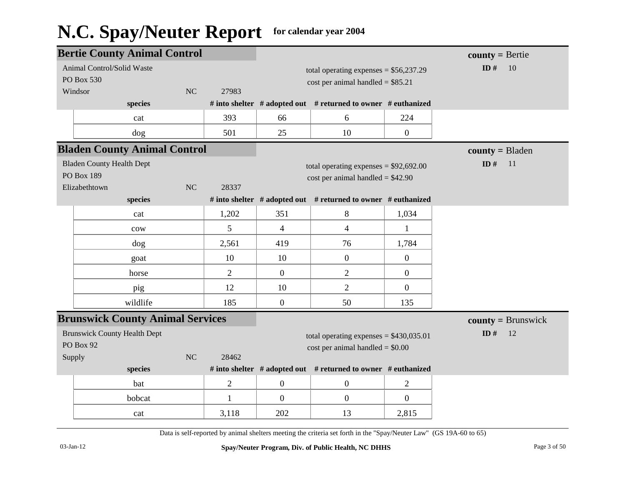|                       | <b>Bertie County Animal Control</b>     |                |                |                |                                                               | $county = Bertie$ |                      |
|-----------------------|-----------------------------------------|----------------|----------------|----------------|---------------------------------------------------------------|-------------------|----------------------|
|                       | Animal Control/Solid Waste              |                |                |                | total operating expenses = $$56,237.29$                       |                   | ID#<br>10            |
|                       | PO Box 530                              |                |                |                | cost per animal handled = $$85.21$                            |                   |                      |
|                       | Windsor                                 | N <sub>C</sub> | 27983          |                |                                                               |                   |                      |
|                       | species                                 |                |                |                | # into shelter # adopted out # returned to owner # euthanized |                   |                      |
|                       | cat                                     |                | 393            | 66             | 6                                                             | 224               |                      |
|                       | dog                                     |                | 501            | 25             | 10                                                            | $\boldsymbol{0}$  |                      |
|                       | <b>Bladen County Animal Control</b>     |                |                |                |                                                               |                   | $county = B$ laden   |
|                       | <b>Bladen County Health Dept</b>        |                |                |                | total operating expenses = $$92,692.00$                       |                   | ID $#$<br>11         |
|                       | PO Box 189                              |                |                |                | $cost per animal handled = $42.90$                            |                   |                      |
|                       | Elizabethtown                           | NC             | 28337          |                |                                                               |                   |                      |
|                       | species                                 |                |                |                | # into shelter # adopted out # returned to owner # euthanized |                   |                      |
|                       | cat                                     |                | 1,202          | 351            | 8                                                             | 1,034             |                      |
|                       | cow                                     |                | 5              | $\overline{4}$ | $\overline{4}$                                                | $\mathbf{1}$      |                      |
|                       | dog                                     |                | 2,561          | 419            | 76                                                            | 1,784             |                      |
|                       | goat                                    |                | 10             | 10             | $\overline{0}$                                                | $\overline{0}$    |                      |
|                       | horse                                   |                | $\overline{2}$ | $\mathbf{0}$   | $\overline{2}$                                                | $\overline{0}$    |                      |
|                       | pig                                     |                | 12             | 10             | $\overline{2}$                                                | $\overline{0}$    |                      |
|                       | wildlife                                |                | 185            | $\mathbf{0}$   | 50                                                            | 135               |                      |
|                       | <b>Brunswick County Animal Services</b> |                |                |                |                                                               |                   | $county = Brunswick$ |
|                       | <b>Brunswick County Health Dept</b>     |                |                |                | total operating expenses = $$430,035.01$                      |                   | ID $#$<br>12         |
|                       | PO Box 92                               |                |                |                | $cost$ per animal handled = \$0.00                            |                   |                      |
| NC<br>28462<br>Supply |                                         |                |                |                |                                                               |                   |                      |
|                       | species                                 |                |                |                | # into shelter # adopted out # returned to owner # euthanized |                   |                      |
|                       | bat                                     |                | $\overline{2}$ | $\mathbf{0}$   | $\overline{0}$                                                | $\overline{2}$    |                      |
|                       | bobcat                                  |                | $\mathbf{1}$   | $\overline{0}$ | $\overline{0}$                                                | $\overline{0}$    |                      |
|                       | cat                                     |                | 3,118          | 202            | 13                                                            | 2,815             |                      |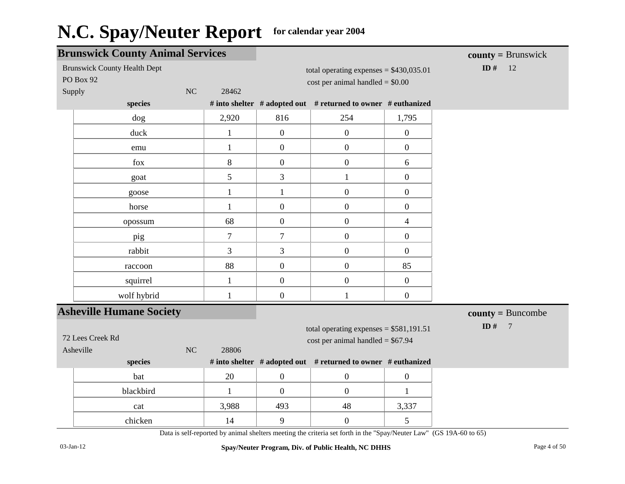|        | <b>Brunswick County Animal Services</b>          |                |                  |                                                                                 |                  | $county = Brunswick$     |
|--------|--------------------------------------------------|----------------|------------------|---------------------------------------------------------------------------------|------------------|--------------------------|
|        | <b>Brunswick County Health Dept</b><br>PO Box 92 |                |                  | total operating expenses = $$430,035.01$<br>$cost$ per animal handled = $$0.00$ |                  | ID $#$<br>12             |
| Supply | NC                                               | 28462          |                  |                                                                                 |                  |                          |
|        | species                                          |                |                  | # into shelter # adopted out # returned to owner # euthanized                   |                  |                          |
|        | $\log$                                           | 2,920          | 816              | 254                                                                             | 1,795            |                          |
|        | duck                                             | $\mathbf{1}$   | $\boldsymbol{0}$ | $\mathbf{0}$                                                                    | $\boldsymbol{0}$ |                          |
|        | emu                                              | $\mathbf{1}$   | $\mathbf{0}$     | $\boldsymbol{0}$                                                                | $\overline{0}$   |                          |
|        | fox                                              | 8              | $\boldsymbol{0}$ | $\boldsymbol{0}$                                                                | 6                |                          |
|        | goat                                             | 5              | 3                | $\mathbf{1}$                                                                    | $\boldsymbol{0}$ |                          |
|        | goose                                            | $\mathbf{1}$   | $\mathbf{1}$     | $\boldsymbol{0}$                                                                | $\boldsymbol{0}$ |                          |
|        | horse                                            | $\mathbf{1}$   | $\boldsymbol{0}$ | $\boldsymbol{0}$                                                                | $\boldsymbol{0}$ |                          |
|        | opossum                                          | 68             | $\mathbf{0}$     | $\boldsymbol{0}$                                                                | $\overline{4}$   |                          |
|        | pig                                              | $\overline{7}$ | $\tau$           | $\boldsymbol{0}$                                                                | $\overline{0}$   |                          |
|        | rabbit                                           | 3              | 3                | $\boldsymbol{0}$                                                                | $\overline{0}$   |                          |
|        | raccoon                                          | 88             | $\mathbf{0}$     | $\boldsymbol{0}$                                                                | 85               |                          |
|        | squirrel                                         | $\mathbf{1}$   | $\mathbf{0}$     | $\boldsymbol{0}$                                                                | $\overline{0}$   |                          |
|        | wolf hybrid                                      | $\mathbf{1}$   | $\boldsymbol{0}$ | $\mathbf{1}$                                                                    | $\boldsymbol{0}$ |                          |
|        | <b>Asheville Humane Society</b>                  |                |                  |                                                                                 |                  | $county = Buncombe$      |
|        |                                                  |                |                  | total operating expenses = $$581,191.51$                                        |                  | ID $#$<br>$\overline{7}$ |
|        | 72 Lees Creek Rd                                 |                |                  | $cost$ per animal handled = \$67.94                                             |                  |                          |
|        | NC<br>Asheville                                  | 28806          |                  |                                                                                 |                  |                          |
|        | species                                          |                |                  | # into shelter # adopted out # returned to owner # euthanized                   |                  |                          |
|        | bat                                              | 20             | $\mathbf{0}$     | $\mathbf{0}$                                                                    | $\boldsymbol{0}$ |                          |
|        | blackbird                                        | $\mathbf{1}$   | $\boldsymbol{0}$ | $\boldsymbol{0}$                                                                | 1                |                          |
|        | cat                                              | 3,988          | 493              | 48                                                                              | 3,337            |                          |
|        | chicken                                          | 14             | 9                | $\boldsymbol{0}$                                                                | 5                |                          |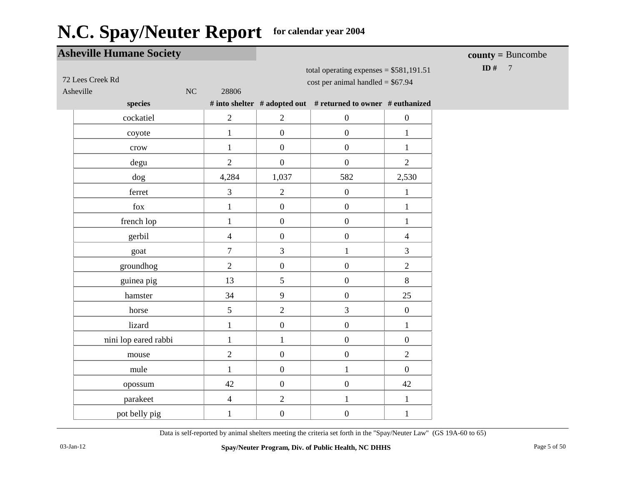|           | <b>Asheville Humane Society</b> |                          |                  |                                                                                |                  | $county = Buncombe$    |
|-----------|---------------------------------|--------------------------|------------------|--------------------------------------------------------------------------------|------------------|------------------------|
| Asheville | 72 Lees Creek Rd<br>NC          | 28806                    |                  | total operating expenses = $$581,191.51$<br>cost per animal handled = $$67.94$ |                  | ID #<br>$\overline{7}$ |
|           | species                         |                          |                  | # into shelter # adopted out # returned to owner # euthanized                  |                  |                        |
|           | cockatiel                       | $\mathbf{2}$             | $\overline{2}$   | $\boldsymbol{0}$                                                               | $\boldsymbol{0}$ |                        |
|           | coyote                          | $\mathbf{1}$             | $\boldsymbol{0}$ | $\boldsymbol{0}$                                                               | $\mathbf{1}$     |                        |
|           | crow                            | $\mathbf{1}$             | $\overline{0}$   | $\boldsymbol{0}$                                                               | $\mathbf{1}$     |                        |
|           | degu                            | $\overline{2}$           | $\overline{0}$   | $\overline{0}$                                                                 | $\overline{2}$   |                        |
|           | dog                             | 4,284                    | 1,037            | 582                                                                            | 2,530            |                        |
|           | ferret                          | 3                        | $\overline{2}$   | $\boldsymbol{0}$                                                               | $\mathbf{1}$     |                        |
|           | fox                             | $\mathbf{1}$             | $\overline{0}$   | $\overline{0}$                                                                 | $\mathbf{1}$     |                        |
|           | french lop                      | $\mathbf{1}$             | $\boldsymbol{0}$ | $\boldsymbol{0}$                                                               | $\mathbf{1}$     |                        |
|           | gerbil                          | $\overline{4}$           | $\boldsymbol{0}$ | $\boldsymbol{0}$                                                               | $\overline{4}$   |                        |
|           | goat                            | $\tau$                   | $\mathfrak{Z}$   | $\mathbf{1}$                                                                   | $\overline{3}$   |                        |
|           | groundhog                       | $\overline{2}$           | $\boldsymbol{0}$ | $\boldsymbol{0}$                                                               | $\overline{2}$   |                        |
|           | guinea pig                      | 13                       | 5                | $\boldsymbol{0}$                                                               | $8\,$            |                        |
|           | hamster                         | 34                       | 9                | $\boldsymbol{0}$                                                               | 25               |                        |
|           | horse                           | 5                        | $\overline{2}$   | $\overline{3}$                                                                 | $\overline{0}$   |                        |
|           | lizard                          | $\mathbf{1}$             | $\boldsymbol{0}$ | $\overline{0}$                                                                 | $\mathbf{1}$     |                        |
|           | nini lop eared rabbi            | $\mathbf{1}$             | $\mathbf{1}$     | $\boldsymbol{0}$                                                               | $\boldsymbol{0}$ |                        |
|           | mouse                           | $\overline{2}$           | $\overline{0}$   | $\boldsymbol{0}$                                                               | $\overline{2}$   |                        |
|           | mule                            | $\mathbf{1}$             | $\overline{0}$   | $\mathbf{1}$                                                                   | $\overline{0}$   |                        |
|           | opossum                         | 42                       | $\boldsymbol{0}$ | $\boldsymbol{0}$                                                               | 42               |                        |
|           | parakeet                        | $\overline{\mathcal{A}}$ | $\overline{2}$   | $\mathbf{1}$                                                                   | $\mathbf{1}$     |                        |
|           | pot belly pig                   | $\mathbf{1}$             | $\boldsymbol{0}$ | $\boldsymbol{0}$                                                               | $\mathbf{1}$     |                        |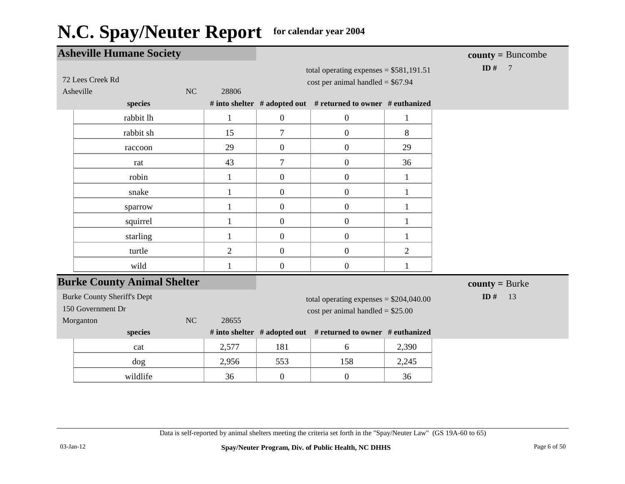| <b>Asheville Humane Society</b>                         |                |                                                                                 |                                                               |                | $county = Buncombe$      |
|---------------------------------------------------------|----------------|---------------------------------------------------------------------------------|---------------------------------------------------------------|----------------|--------------------------|
| 72 Lees Creek Rd<br>Asheville<br>NC                     | 28806          | total operating expenses = $$581,191.51$<br>$cost per animal handled = $67.94$  |                                                               |                | ID $#$<br>$\overline{7}$ |
| species                                                 |                |                                                                                 | # into shelter # adopted out # returned to owner # euthanized |                |                          |
| rabbit lh                                               | $\mathbf{1}$   | $\boldsymbol{0}$                                                                | $\boldsymbol{0}$                                              | $\mathbf{1}$   |                          |
| rabbit sh                                               | 15             | $\overline{7}$                                                                  | $\boldsymbol{0}$                                              | 8              |                          |
| raccoon                                                 | 29             | $\boldsymbol{0}$                                                                | $\boldsymbol{0}$                                              | 29             |                          |
| rat                                                     | 43             | $\tau$                                                                          | $\boldsymbol{0}$                                              | 36             |                          |
| robin                                                   | 1              | $\overline{0}$                                                                  | $\overline{0}$                                                | $\mathbf{1}$   |                          |
| snake                                                   | $\mathbf{1}$   | $\boldsymbol{0}$                                                                | $\boldsymbol{0}$                                              | $\mathbf{1}$   |                          |
| sparrow                                                 | 1              | $\overline{0}$                                                                  | $\boldsymbol{0}$                                              | 1              |                          |
| squirrel                                                | $\mathbf{1}$   | $\boldsymbol{0}$                                                                | $\boldsymbol{0}$                                              | $\mathbf{1}$   |                          |
| starling                                                |                | $\boldsymbol{0}$                                                                | $\boldsymbol{0}$                                              | $\mathbf{1}$   |                          |
| turtle                                                  | $\overline{2}$ | $\overline{0}$                                                                  | $\overline{0}$                                                | $\overline{2}$ |                          |
| wild                                                    | 1              | $\boldsymbol{0}$                                                                | $\boldsymbol{0}$                                              | 1              |                          |
| <b>Burke County Animal Shelter</b>                      |                |                                                                                 |                                                               |                | $county = Burke$         |
| <b>Burke County Sheriff's Dept</b><br>150 Government Dr |                | total operating expenses = $$204,040.00$<br>$cost$ per animal handled = \$25.00 |                                                               |                | ID#<br>13                |
| NC<br>28655<br>Morganton<br>species                     |                |                                                                                 | # into shelter # adopted out # returned to owner # euthanized |                |                          |
| cat                                                     | 2,577          | 181                                                                             | 6                                                             | 2,390          |                          |
| dog                                                     | 2,956          | 553                                                                             | 158                                                           | 2,245          |                          |
| wildlife                                                | 36             | $\boldsymbol{0}$                                                                | $\overline{0}$                                                | 36             |                          |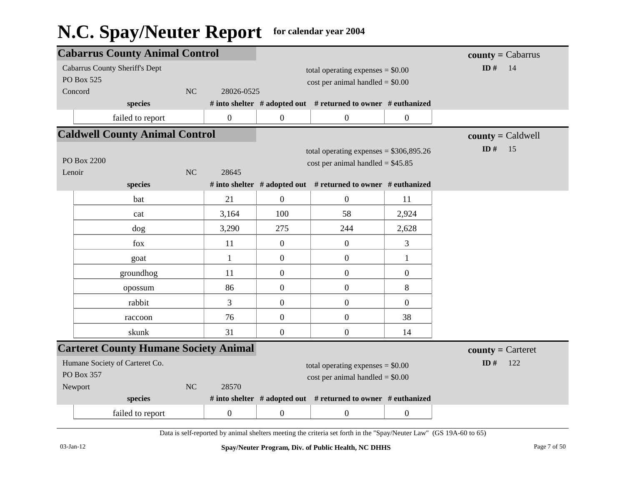|                        | <b>Cabarrus County Animal Control</b>        |                                    |                  |                                    |                                                               | $county = Cabarrus$ |                     |
|------------------------|----------------------------------------------|------------------------------------|------------------|------------------------------------|---------------------------------------------------------------|---------------------|---------------------|
|                        | <b>Cabarrus County Sheriff's Dept</b>        |                                    |                  |                                    | total operating expenses $= $0.00$                            |                     | ID#<br>14           |
|                        | PO Box 525                                   |                                    |                  |                                    | $cost$ per animal handled = \$0.00                            |                     |                     |
|                        | Concord                                      | NC                                 | 28026-0525       |                                    |                                                               |                     |                     |
|                        | species                                      |                                    |                  |                                    | # into shelter # adopted out # returned to owner # euthanized |                     |                     |
|                        | failed to report                             |                                    | $\mathbf{0}$     | $\boldsymbol{0}$                   | $\boldsymbol{0}$                                              | $\boldsymbol{0}$    |                     |
|                        | <b>Caldwell County Animal Control</b>        |                                    |                  |                                    |                                                               | $county = Caldwell$ |                     |
|                        |                                              |                                    |                  |                                    | total operating expenses = $$306,895.26$                      |                     | ID#<br>15           |
|                        | PO Box 2200                                  |                                    |                  |                                    | cost per animal handled = $$45.85$                            |                     |                     |
| Lenoir                 |                                              | NC                                 | 28645            |                                    |                                                               |                     |                     |
|                        | species                                      |                                    |                  |                                    | # into shelter # adopted out # returned to owner # euthanized |                     |                     |
|                        | bat                                          |                                    | 21               | $\boldsymbol{0}$                   | $\boldsymbol{0}$                                              | 11                  |                     |
|                        | cat                                          |                                    | 3,164            | 100                                | 58                                                            | 2,924               |                     |
|                        | dog                                          |                                    | 3,290            | 275                                | 244                                                           | 2,628               |                     |
|                        | fox                                          |                                    | 11               | $\mathbf{0}$                       | $\boldsymbol{0}$                                              | 3                   |                     |
|                        | goat                                         |                                    | $\mathbf{1}$     | $\mathbf{0}$                       | $\boldsymbol{0}$                                              | $\mathbf{1}$        |                     |
|                        | groundhog                                    |                                    | 11               | $\boldsymbol{0}$                   | $\boldsymbol{0}$                                              | $\mathbf{0}$        |                     |
|                        | opossum                                      |                                    | 86               | $\overline{0}$                     | $\boldsymbol{0}$                                              | 8                   |                     |
|                        | rabbit                                       |                                    | 3                | $\mathbf{0}$                       | $\boldsymbol{0}$                                              | $\boldsymbol{0}$    |                     |
|                        | raccoon                                      |                                    | 76               | $\overline{0}$                     | $\boldsymbol{0}$                                              | 38                  |                     |
|                        | skunk                                        |                                    | 31               | $\mathbf{0}$                       | $\boldsymbol{0}$                                              | 14                  |                     |
|                        | <b>Carteret County Humane Society Animal</b> |                                    |                  |                                    |                                                               |                     | $county =$ Carteret |
|                        | Humane Society of Carteret Co.               |                                    |                  | total operating expenses $= $0.00$ |                                                               |                     | ID#<br>122          |
| <b>PO Box 357</b>      |                                              | $cost$ per animal handled = \$0.00 |                  |                                    |                                                               |                     |                     |
| NC<br>28570<br>Newport |                                              |                                    |                  |                                    |                                                               |                     |                     |
|                        | species                                      |                                    |                  |                                    | # into shelter # adopted out # returned to owner # euthanized |                     |                     |
|                        | failed to report                             |                                    | $\boldsymbol{0}$ | $\boldsymbol{0}$                   | $\boldsymbol{0}$                                              | $\boldsymbol{0}$    |                     |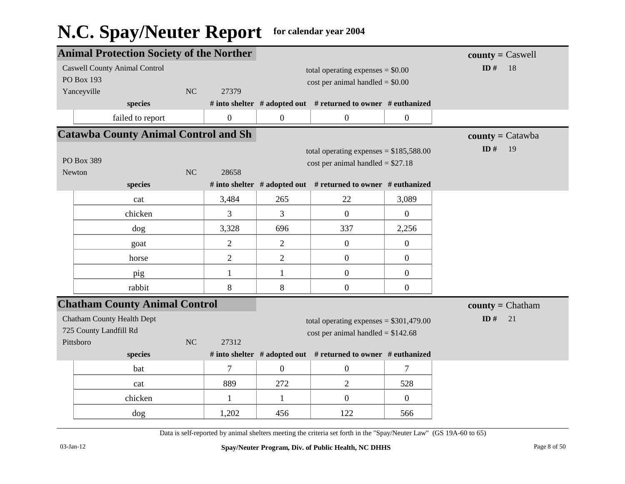|                       | <b>Animal Protection Society of the Norther</b> |           |                  |                                          |                                                               | $county = C$ aswell |                           |
|-----------------------|-------------------------------------------------|-----------|------------------|------------------------------------------|---------------------------------------------------------------|---------------------|---------------------------|
|                       | <b>Caswell County Animal Control</b>            |           |                  |                                          | total operating expenses $= $0.00$                            |                     | ID $#$<br>18              |
|                       | <b>PO Box 193</b>                               |           |                  |                                          | $cost$ per animal handled = $$0.00$                           |                     |                           |
|                       | Yanceyville                                     | NC        | 27379            |                                          |                                                               |                     |                           |
|                       | species                                         |           |                  |                                          | # into shelter # adopted out # returned to owner # euthanized |                     |                           |
|                       | failed to report                                |           | $\boldsymbol{0}$ | $\overline{0}$                           | $\boldsymbol{0}$                                              | $\overline{0}$      |                           |
|                       | <b>Catawba County Animal Control and Sh</b>     |           |                  |                                          |                                                               |                     | $county = \text{Catawba}$ |
|                       |                                                 |           |                  | total operating expenses = $$185,588.00$ |                                                               | ID $#$<br>19        |                           |
|                       | PO Box 389                                      |           |                  |                                          | $cost per animal handled = $27.18$                            |                     |                           |
| NC<br>Newton<br>28658 |                                                 |           |                  |                                          |                                                               |                     |                           |
|                       | species                                         |           |                  |                                          | # into shelter # adopted out # returned to owner # euthanized |                     |                           |
|                       | cat                                             |           | 3,484            | 265                                      | 22                                                            | 3,089               |                           |
|                       | chicken                                         |           | 3                | 3                                        | $\boldsymbol{0}$                                              | $\overline{0}$      |                           |
|                       | $\log$                                          |           | 3,328            | 696                                      | 337                                                           | 2,256               |                           |
|                       | goat                                            |           | $\overline{2}$   | $\overline{2}$                           | $\boldsymbol{0}$                                              | $\mathbf{0}$        |                           |
|                       | horse                                           |           | $\overline{2}$   | $\overline{2}$                           | $\boldsymbol{0}$                                              | $\boldsymbol{0}$    |                           |
|                       | pig                                             |           | 1                | $\mathbf{1}$                             | $\boldsymbol{0}$                                              | $\boldsymbol{0}$    |                           |
|                       | rabbit                                          |           | 8                | 8                                        | $\boldsymbol{0}$                                              | $\boldsymbol{0}$    |                           |
|                       | <b>Chatham County Animal Control</b>            |           |                  |                                          |                                                               |                     | $county = Chatham$        |
|                       | <b>Chatham County Health Dept</b>               |           |                  |                                          | total operating expenses = $$301,479.00$                      |                     | ID#<br>21                 |
|                       | 725 County Landfill Rd                          |           |                  |                                          | cost per animal handled = $$142.68$                           |                     |                           |
|                       | Pittsboro                                       | <b>NC</b> | 27312            |                                          |                                                               |                     |                           |
|                       | species                                         |           |                  |                                          | # into shelter # adopted out # returned to owner # euthanized |                     |                           |
|                       | bat                                             |           | 7                | $\mathbf{0}$                             | $\boldsymbol{0}$                                              | 7                   |                           |
|                       | cat                                             |           | 889              | 272                                      | 2                                                             | 528                 |                           |
|                       | chicken                                         |           | 1                | $\mathbf{1}$                             | $\boldsymbol{0}$                                              | $\overline{0}$      |                           |
|                       | dog                                             |           | 1,202            | 456                                      | 122                                                           | 566                 |                           |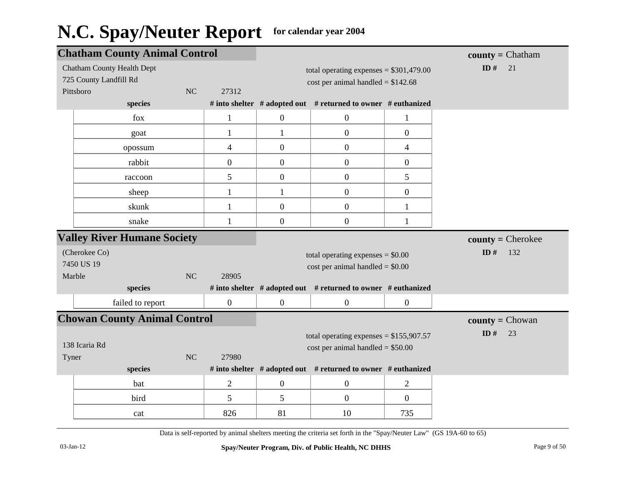|                        | <b>Chatham County Animal Control</b> |           |                          |                  |                                                                                 |                  | $\text{county} = \text{Chatham}$ |
|------------------------|--------------------------------------|-----------|--------------------------|------------------|---------------------------------------------------------------------------------|------------------|----------------------------------|
|                        | <b>Chatham County Health Dept</b>    |           |                          |                  | total operating expenses = $$301,479.00$                                        |                  | ID $#$<br>21                     |
| 725 County Landfill Rd |                                      |           |                          |                  | cost per animal handled = $$142.68$                                             |                  |                                  |
| Pittsboro              |                                      | NC        | 27312                    |                  |                                                                                 |                  |                                  |
|                        | species                              |           |                          |                  | # into shelter # adopted out # returned to owner # euthanized                   |                  |                                  |
|                        | fox                                  |           | $\mathbf{1}$             | $\mathbf{0}$     | $\boldsymbol{0}$                                                                | $\mathbf{1}$     |                                  |
|                        | goat                                 |           | 1                        | 1                | $\boldsymbol{0}$                                                                | $\boldsymbol{0}$ |                                  |
|                        | opossum                              |           | $\overline{\mathcal{L}}$ | $\mathbf{0}$     | $\boldsymbol{0}$                                                                | $\overline{4}$   |                                  |
|                        | rabbit                               |           | $\boldsymbol{0}$         | $\mathbf{0}$     | $\boldsymbol{0}$                                                                | $\mathbf{0}$     |                                  |
|                        | raccoon                              |           | 5                        | $\boldsymbol{0}$ | $\boldsymbol{0}$                                                                | 5                |                                  |
|                        | sheep                                |           | 1                        | $\mathbf{1}$     | $\boldsymbol{0}$                                                                | $\boldsymbol{0}$ |                                  |
|                        | skunk                                |           | $\mathbf{1}$             | $\overline{0}$   | $\boldsymbol{0}$                                                                | $\mathbf{1}$     |                                  |
|                        | snake                                |           | 1                        | $\overline{0}$   | $\boldsymbol{0}$                                                                |                  |                                  |
|                        | <b>Valley River Humane Society</b>   |           |                          |                  |                                                                                 |                  | $county =$ Cherokee              |
| (Cherokee Co)          |                                      |           |                          |                  | total operating expenses $= $0.00$                                              |                  | ID $#$<br>132                    |
| 7450 US 19             |                                      |           |                          |                  | $cost$ per animal handled = \$0.00                                              |                  |                                  |
| Marble                 |                                      | <b>NC</b> | 28905                    |                  |                                                                                 |                  |                                  |
|                        | species                              |           |                          |                  | # into shelter # adopted out # returned to owner # euthanized                   |                  |                                  |
|                        | failed to report                     |           | $\boldsymbol{0}$         | $\overline{0}$   | $\boldsymbol{0}$                                                                | $\boldsymbol{0}$ |                                  |
|                        | <b>Chowan County Animal Control</b>  |           |                          |                  |                                                                                 |                  | <b>county</b> = $Chowan$         |
| 138 Icaria Rd<br>Tyner |                                      | NC        | 27980                    |                  | total operating expenses = $$155,907.57$<br>$cost$ per animal handled = \$50.00 |                  | ID#<br>23                        |
|                        | species                              |           |                          |                  | # into shelter # adopted out # returned to owner # euthanized                   |                  |                                  |
|                        | bat                                  |           | $\mathbf{2}$             | $\overline{0}$   | $\boldsymbol{0}$                                                                | $\overline{c}$   |                                  |
|                        | bird                                 |           | 5                        | 5                | $\boldsymbol{0}$                                                                | $\boldsymbol{0}$ |                                  |
|                        | cat                                  |           | 826                      | 81               | 10                                                                              | 735              |                                  |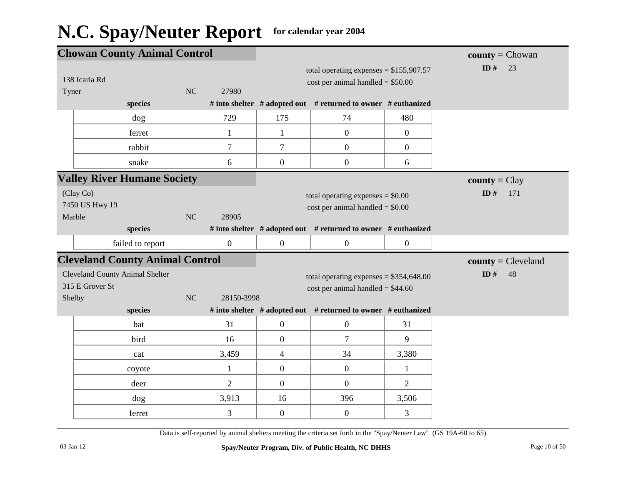|                                                      | <b>Chowan County Animal Control</b>                       |    |                |                                                                                |                                                                                 | <b>county</b> = $Chowan$ |                               |
|------------------------------------------------------|-----------------------------------------------------------|----|----------------|--------------------------------------------------------------------------------|---------------------------------------------------------------------------------|--------------------------|-------------------------------|
| Tyner                                                | 138 Icaria Rd                                             | NC | 27980          |                                                                                | total operating expenses = $$155,907.57$<br>$cost$ per animal handled = \$50.00 |                          | ID#<br>23                     |
|                                                      | species                                                   |    |                |                                                                                | # into shelter # adopted out # returned to owner # euthanized                   |                          |                               |
|                                                      | dog                                                       |    | 729            | 175                                                                            | 74                                                                              | 480                      |                               |
|                                                      | ferret                                                    |    | $\mathbf{1}$   | $\mathbf{1}$                                                                   | $\boldsymbol{0}$                                                                | $\overline{0}$           |                               |
|                                                      | rabbit                                                    |    | $\overline{7}$ | $\tau$                                                                         | $\boldsymbol{0}$                                                                | $\overline{0}$           |                               |
|                                                      | snake                                                     |    | 6              | $\boldsymbol{0}$                                                               | $\boldsymbol{0}$                                                                | 6                        |                               |
|                                                      | <b>Valley River Humane Society</b>                        |    |                |                                                                                |                                                                                 |                          | $\text{county} = \text{Clay}$ |
| (Clay Co)<br>7450 US Hwy 19<br>NC<br>Marble<br>28905 |                                                           |    |                | total operating expenses $= $0.00$<br>$cost$ per animal handled = \$0.00       | ID $#$<br>171                                                                   |                          |                               |
|                                                      | species                                                   |    |                |                                                                                | # into shelter # adopted out # returned to owner # euthanized                   |                          |                               |
|                                                      | failed to report                                          |    | $\overline{0}$ | $\boldsymbol{0}$                                                               | $\boldsymbol{0}$                                                                | $\boldsymbol{0}$         |                               |
|                                                      | <b>Cleveland County Animal Control</b>                    |    |                |                                                                                |                                                                                 |                          | $county = Cleveland$          |
| Shelby                                               | <b>Cleveland County Animal Shelter</b><br>315 E Grover St | NC | 28150-3998     | total operating expenses = $$354,648.00$<br>cost per animal handled = $$44.60$ |                                                                                 |                          | ID#<br>48                     |
|                                                      | species                                                   |    |                |                                                                                | # into shelter # adopted out # returned to owner # euthanized                   |                          |                               |
|                                                      | bat                                                       |    | 31             | $\overline{0}$                                                                 | $\boldsymbol{0}$                                                                | 31                       |                               |
|                                                      | bird                                                      |    | 16             | $\overline{0}$                                                                 | $\overline{7}$                                                                  | 9                        |                               |
|                                                      | cat                                                       |    | 3,459          | $\overline{4}$                                                                 | 34                                                                              | 3,380                    |                               |
|                                                      | coyote                                                    |    | $\mathbf{1}$   | $\boldsymbol{0}$                                                               | $\boldsymbol{0}$                                                                | $\mathbf{1}$             |                               |
|                                                      | deer                                                      |    | $\overline{2}$ | $\overline{0}$                                                                 | $\overline{0}$                                                                  | $\overline{2}$           |                               |
|                                                      | dog                                                       |    | 3,913          | 16                                                                             | 396                                                                             | 3,506                    |                               |
|                                                      | ferret                                                    |    | 3              | $\overline{0}$                                                                 | $\boldsymbol{0}$                                                                | 3                        |                               |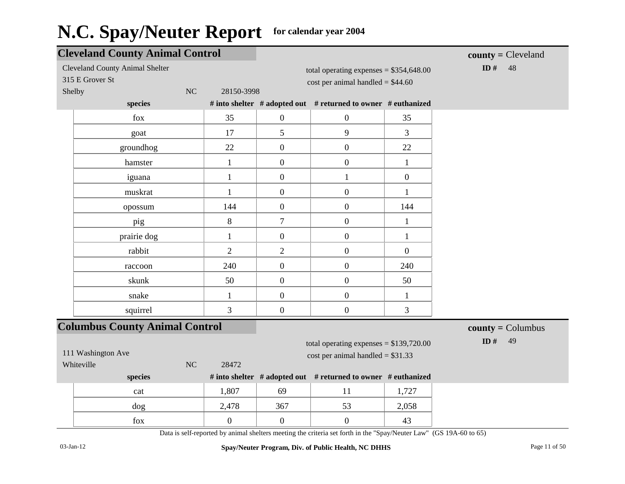| <b>Cleveland County Animal Control</b> |                  |                  |                                                               |                  | $\text{county} = \text{C-level}$ |
|----------------------------------------|------------------|------------------|---------------------------------------------------------------|------------------|----------------------------------|
| <b>Cleveland County Animal Shelter</b> |                  |                  | total operating expenses = $$354,648.00$                      |                  | ID#<br>48                        |
| 315 E Grover St                        |                  |                  | $cost$ per animal handled = \$44.60                           |                  |                                  |
| Shelby                                 | NC<br>28150-3998 |                  |                                                               |                  |                                  |
| species                                |                  |                  | # into shelter # adopted out # returned to owner # euthanized |                  |                                  |
| fox                                    | 35               | $\boldsymbol{0}$ | $\boldsymbol{0}$                                              | 35               |                                  |
| goat                                   | 17               | 5                | 9                                                             | 3                |                                  |
| groundhog                              | 22               | $\boldsymbol{0}$ | $\boldsymbol{0}$                                              | 22               |                                  |
| hamster                                | $\mathbf{1}$     | $\boldsymbol{0}$ | $\boldsymbol{0}$                                              | $\mathbf{1}$     |                                  |
| iguana                                 | $\mathbf{1}$     | $\boldsymbol{0}$ | 1                                                             | $\boldsymbol{0}$ |                                  |
| muskrat                                | $\mathbf{1}$     | $\boldsymbol{0}$ | $\boldsymbol{0}$                                              | 1                |                                  |
| opossum                                | 144              | $\boldsymbol{0}$ | $\boldsymbol{0}$                                              | 144              |                                  |
| pig                                    | $8\,$            | $\tau$           | $\boldsymbol{0}$                                              | $\mathbf{1}$     |                                  |
| prairie dog                            | $\mathbf{1}$     | $\boldsymbol{0}$ | $\boldsymbol{0}$                                              | $\mathbf{1}$     |                                  |
| rabbit                                 | $\overline{2}$   | $\mathfrak{2}$   | $\boldsymbol{0}$                                              | $\overline{0}$   |                                  |
| raccoon                                | 240              | $\boldsymbol{0}$ | $\boldsymbol{0}$                                              | 240              |                                  |
| skunk                                  | 50               | $\boldsymbol{0}$ | $\boldsymbol{0}$                                              | 50               |                                  |
| snake                                  | $\mathbf{1}$     | $\boldsymbol{0}$ | $\boldsymbol{0}$                                              | 1                |                                  |
| squirrel                               | 3                | $\boldsymbol{0}$ | $\boldsymbol{0}$                                              | 3                |                                  |
| <b>Columbus County Animal Control</b>  |                  |                  |                                                               |                  | $county = Columnbus$             |
|                                        |                  |                  | total operating expenses $= $139,720.00$                      |                  | ID#<br>49                        |
| 111 Washington Ave                     |                  |                  | $cost per animal handled = $31.33$                            |                  |                                  |
| Whiteville                             | NC<br>28472      |                  |                                                               |                  |                                  |
| species                                |                  |                  | # into shelter # adopted out # returned to owner # euthanized |                  |                                  |
| cat                                    | 1,807            | 69               | 11                                                            | 1,727            |                                  |
| dog                                    | 2,478            | 367              | 53                                                            | 2,058            |                                  |
| fox                                    | $\boldsymbol{0}$ | $\boldsymbol{0}$ | $\boldsymbol{0}$                                              | 43               |                                  |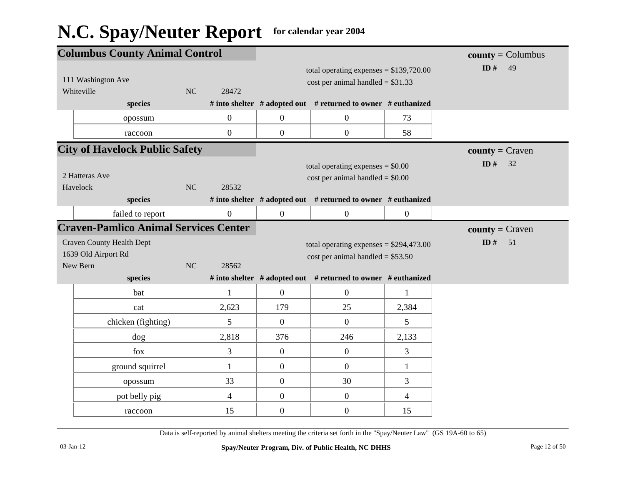| <b>Columbus County Animal Control</b>                                     |                  |                  |                                                                                 | $\text{county} = \text{Columnbus}$ |                    |
|---------------------------------------------------------------------------|------------------|------------------|---------------------------------------------------------------------------------|------------------------------------|--------------------|
| 111 Washington Ave<br>Whiteville<br>NC                                    | 28472            |                  | total operating expenses = $$139,720.00$<br>cost per animal handled = $$31.33$  | ID#<br>49                          |                    |
| species                                                                   |                  |                  | # into shelter # adopted out # returned to owner # euthanized                   |                                    |                    |
| opossum                                                                   | $\boldsymbol{0}$ | $\overline{0}$   | $\boldsymbol{0}$                                                                | 73                                 |                    |
| raccoon                                                                   | $\boldsymbol{0}$ | $\overline{0}$   | $\boldsymbol{0}$                                                                | 58                                 |                    |
| <b>City of Havelock Public Safety</b>                                     |                  |                  |                                                                                 |                                    | $county = Craven$  |
| 2 Hatteras Ave<br>NC<br>Havelock                                          | 28532            |                  | total operating expenses $= $0.00$<br>$cost$ per animal handled = \$0.00        |                                    | ID $#$<br>32       |
| species                                                                   |                  |                  | # into shelter # adopted out # returned to owner # euthanized                   |                                    |                    |
| failed to report                                                          | $\boldsymbol{0}$ | $\mathbf{0}$     | $\boldsymbol{0}$                                                                | $\boldsymbol{0}$                   |                    |
| <b>Craven-Pamlico Animal Services Center</b>                              |                  |                  |                                                                                 |                                    | $county = C$ raven |
| <b>Craven County Health Dept</b><br>1639 Old Airport Rd<br>New Bern<br>NC | 28562            |                  | total operating expenses = $$294,473.00$<br>$cost$ per animal handled = \$53.50 |                                    | 51<br>ID $\#$      |
| species                                                                   |                  |                  | # into shelter # adopted out # returned to owner # euthanized                   |                                    |                    |
| bat                                                                       | $\mathbf{1}$     | $\overline{0}$   | $\mathbf{0}$                                                                    | 1                                  |                    |
| cat                                                                       | 2,623            | 179              | 25                                                                              | 2,384                              |                    |
| chicken (fighting)                                                        | 5                | $\overline{0}$   | $\overline{0}$                                                                  | 5                                  |                    |
| dog                                                                       | 2,818            | 376              | 246                                                                             | 2,133                              |                    |
| fox                                                                       | 3                | $\mathbf{0}$     | $\boldsymbol{0}$                                                                | 3                                  |                    |
| ground squirrel                                                           | $\mathbf{1}$     | $\boldsymbol{0}$ | $\boldsymbol{0}$                                                                | $\mathbf{1}$                       |                    |
| opossum                                                                   | 33               | $\overline{0}$   | 30                                                                              | 3                                  |                    |
| pot belly pig                                                             | $\overline{4}$   | $\overline{0}$   | $\boldsymbol{0}$                                                                | 4                                  |                    |
| raccoon                                                                   | 15               | $\overline{0}$   | $\boldsymbol{0}$                                                                | 15                                 |                    |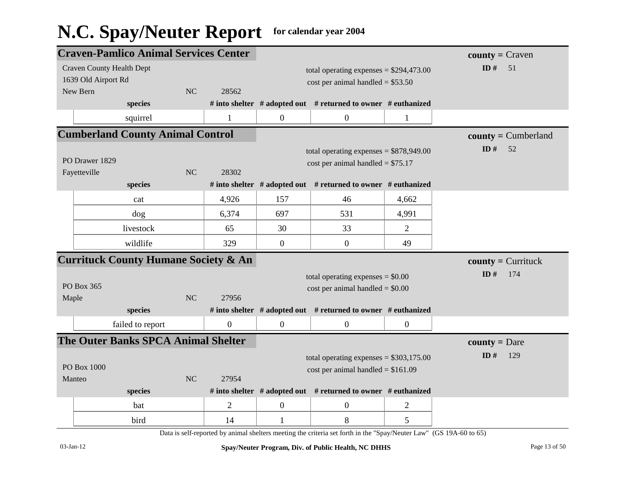|                | <b>Craven-Pamlico Animal Services Center</b>    |    |                |                                    |                                                                     | $county = Craven$ |                       |
|----------------|-------------------------------------------------|----|----------------|------------------------------------|---------------------------------------------------------------------|-------------------|-----------------------|
|                | <b>Craven County Health Dept</b>                |    |                |                                    | total operating expenses = $$294,473.00$                            |                   | ID#<br>51             |
|                | 1639 Old Airport Rd                             |    |                |                                    | $cost$ per animal handled = \$53.50                                 |                   |                       |
| New Bern       |                                                 | NC | 28562          |                                    |                                                                     |                   |                       |
|                | species                                         |    |                |                                    | # into shelter $#$ adopted out $#$ returned to owner $#$ euthanized |                   |                       |
|                | squirrel                                        |    | $\mathbf{1}$   | $\overline{0}$                     | $\boldsymbol{0}$                                                    | $\mathbf{1}$      |                       |
|                | <b>Cumberland County Animal Control</b>         |    |                |                                    |                                                                     |                   | $county = Cumberland$ |
|                |                                                 |    |                |                                    | total operating expenses = $$878,949.00$                            |                   | ID#<br>52             |
| PO Drawer 1829 |                                                 |    |                | cost per animal handled = $$75.17$ |                                                                     |                   |                       |
|                | Fayetteville                                    | NC | 28302          |                                    |                                                                     |                   |                       |
|                | species                                         |    |                |                                    | # into shelter $#$ adopted out $#$ returned to owner $#$ euthanized |                   |                       |
|                | cat                                             |    | 4,926          | 157                                | 46                                                                  | 4,662             |                       |
|                | dog                                             |    | 6,374          | 697                                | 531                                                                 | 4,991             |                       |
|                | livestock                                       |    | 65             | 30                                 | 33                                                                  | $\overline{2}$    |                       |
|                | wildlife                                        |    | 329            | $\mathbf{0}$                       | $\overline{0}$                                                      | 49                |                       |
|                | <b>Currituck County Humane Society &amp; An</b> |    |                |                                    |                                                                     |                   | $county =$ Currituck  |
|                |                                                 |    |                |                                    | total operating expenses $= $0.00$                                  | ID#<br>174        |                       |
|                | PO Box 365                                      |    |                |                                    | $cost$ per animal handled = \$0.00                                  |                   |                       |
| Maple          |                                                 | NC | 27956          |                                    |                                                                     |                   |                       |
|                | species                                         |    |                |                                    | # into shelter # adopted out # returned to owner # euthanized       |                   |                       |
|                | failed to report                                |    | $\mathbf{0}$   | $\overline{0}$                     | $\mathbf{0}$                                                        | $\overline{0}$    |                       |
|                | The Outer Banks SPCA Animal Shelter             |    |                |                                    |                                                                     |                   | <b>county</b> = Dare  |
|                |                                                 |    |                |                                    | total operating expenses = $$303,175.00$                            |                   | ID#<br>129            |
|                | PO Box 1000                                     |    |                |                                    | cost per animal handled = $$161.09$                                 |                   |                       |
| Manteo         |                                                 | NC | 27954          |                                    |                                                                     |                   |                       |
|                | species                                         |    |                |                                    | # into shelter # adopted out # returned to owner # euthanized       |                   |                       |
|                | bat                                             |    | $\overline{2}$ | $\overline{0}$                     | $\overline{0}$                                                      | $\overline{2}$    |                       |
|                | bird                                            |    | 14             | 1                                  | 8                                                                   | 5                 |                       |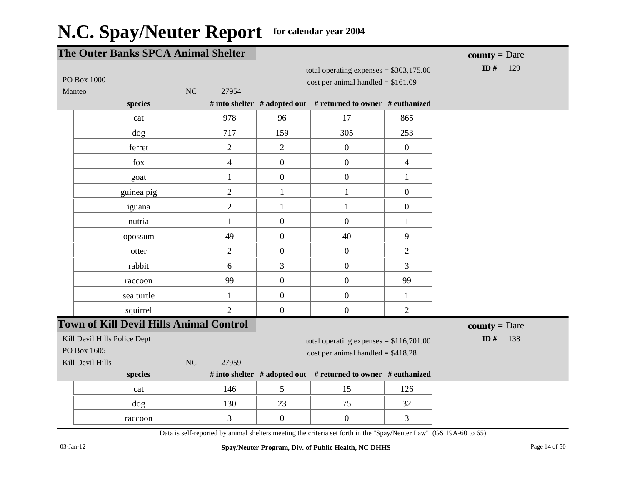| The Outer Banks SPCA Animal Shelter                             |                |                |                                                                                 |                  | <b>county</b> = Dare |
|-----------------------------------------------------------------|----------------|----------------|---------------------------------------------------------------------------------|------------------|----------------------|
| PO Box 1000<br>Manteo                                           | NC<br>27954    |                | total operating expenses = $$303,175.00$<br>cost per animal handled = $$161.09$ |                  | ID $#$<br>129        |
| species                                                         |                |                | # into shelter # adopted out # returned to owner # euthanized                   |                  |                      |
| cat                                                             | 978            | 96             | 17                                                                              | 865              |                      |
| dog                                                             | 717            | 159            | 305                                                                             | 253              |                      |
| ferret                                                          | $\overline{2}$ | $\overline{2}$ | $\boldsymbol{0}$                                                                | $\boldsymbol{0}$ |                      |
| fox                                                             | $\overline{4}$ | $\overline{0}$ | $\boldsymbol{0}$                                                                | $\overline{4}$   |                      |
| goat                                                            | $\mathbf{1}$   | $\mathbf{0}$   | $\boldsymbol{0}$                                                                | $\mathbf{1}$     |                      |
| guinea pig                                                      | $\overline{2}$ | $\mathbf{1}$   | $\mathbf{1}$                                                                    | $\overline{0}$   |                      |
| iguana                                                          | $\overline{2}$ | $\mathbf{1}$   | $\mathbf{1}$                                                                    | $\overline{0}$   |                      |
| nutria                                                          | $\mathbf{1}$   | $\mathbf{0}$   | $\mathbf{0}$                                                                    | 1                |                      |
| opossum                                                         | 49             | $\overline{0}$ | 40                                                                              | 9                |                      |
| otter                                                           | $\overline{2}$ | $\overline{0}$ | $\boldsymbol{0}$                                                                | $\overline{2}$   |                      |
| rabbit                                                          | 6              | 3              | $\boldsymbol{0}$                                                                | 3                |                      |
| raccoon                                                         | 99             | $\mathbf{0}$   | $\boldsymbol{0}$                                                                | 99               |                      |
| sea turtle                                                      | $\mathbf{1}$   | $\mathbf{0}$   | $\boldsymbol{0}$                                                                | $\mathbf{1}$     |                      |
| squirrel                                                        | $\overline{2}$ | $\mathbf{0}$   | $\boldsymbol{0}$                                                                | $\overline{2}$   |                      |
| <b>Town of Kill Devil Hills Animal Control</b>                  |                |                |                                                                                 |                  | <b>county</b> = Dare |
| Kill Devil Hills Police Dept<br>PO Box 1605<br>Kill Devil Hills | NC<br>27959    |                | total operating expenses = $$116,701.00$<br>$cost per animal handled = $418.28$ |                  | ID $#$<br>138        |
| species                                                         |                |                | # into shelter # adopted out # returned to owner # euthanized                   |                  |                      |
| cat                                                             | 146            | 5              | 15                                                                              | 126              |                      |
| dog                                                             | 130            | 23             | 75                                                                              | 32               |                      |
| raccoon                                                         | $\overline{3}$ | $\mathbf{0}$   | $\boldsymbol{0}$                                                                | $\overline{3}$   |                      |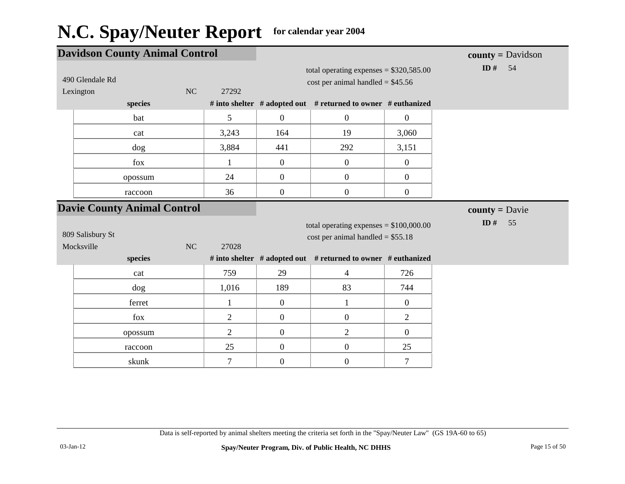| <b>Davidson County Animal Control</b>   |    |                |                  |                                                                                                                                                  | $county = \text{Davidson}$ |                         |
|-----------------------------------------|----|----------------|------------------|--------------------------------------------------------------------------------------------------------------------------------------------------|----------------------------|-------------------------|
| 490 Glendale Rd<br>Lexington<br>species | NC | 27292          |                  | total operating expenses = $$320,585.00$<br>$cost$ per animal handled = \$45.56<br># into shelter # adopted out # returned to owner # euthanized |                            | ID # $54$               |
| bat                                     |    | 5              | $\mathbf{0}$     | $\boldsymbol{0}$                                                                                                                                 | $\boldsymbol{0}$           |                         |
| cat                                     |    | 3,243          | 164              | 19                                                                                                                                               | 3,060                      |                         |
| dog                                     |    | 3,884          | 441              | 292                                                                                                                                              | 3,151                      |                         |
| fox                                     |    | 1              | $\mathbf{0}$     | $\overline{0}$                                                                                                                                   | $\boldsymbol{0}$           |                         |
| opossum                                 |    | 24             | $\boldsymbol{0}$ | $\boldsymbol{0}$                                                                                                                                 | $\boldsymbol{0}$           |                         |
| raccoon                                 |    | 36             | $\mathbf{0}$     | $\boldsymbol{0}$                                                                                                                                 | $\boldsymbol{0}$           |                         |
| <b>Davie County Animal Control</b>      |    |                |                  |                                                                                                                                                  |                            | <b>county</b> = $Davie$ |
| 809 Salisbury St<br>Mocksville          | NC | 27028          |                  | total operating expenses = $$100,000.00$<br>$cost$ per animal handled = \$55.18                                                                  |                            | ID $#$<br>55            |
| species                                 |    |                |                  | # into shelter # adopted out # returned to owner # euthanized                                                                                    |                            |                         |
| cat                                     |    | 759            | 29               | $\overline{4}$                                                                                                                                   | 726                        |                         |
| dog                                     |    | 1,016          | 189              | 83                                                                                                                                               | 744                        |                         |
| ferret                                  |    | 1              | $\boldsymbol{0}$ | $\mathbf{1}$                                                                                                                                     | $\mathbf{0}$               |                         |
| fox                                     |    | $\overline{2}$ | $\mathbf{0}$     | $\boldsymbol{0}$                                                                                                                                 | $\overline{2}$             |                         |
| opossum                                 |    | $\overline{2}$ | $\mathbf{0}$     | $\overline{2}$                                                                                                                                   | $\boldsymbol{0}$           |                         |
| raccoon                                 |    | 25             | $\mathbf{0}$     | $\overline{0}$                                                                                                                                   | 25                         |                         |
| skunk                                   |    | $\tau$         | $\mathbf{0}$     | $\boldsymbol{0}$                                                                                                                                 | $\tau$                     |                         |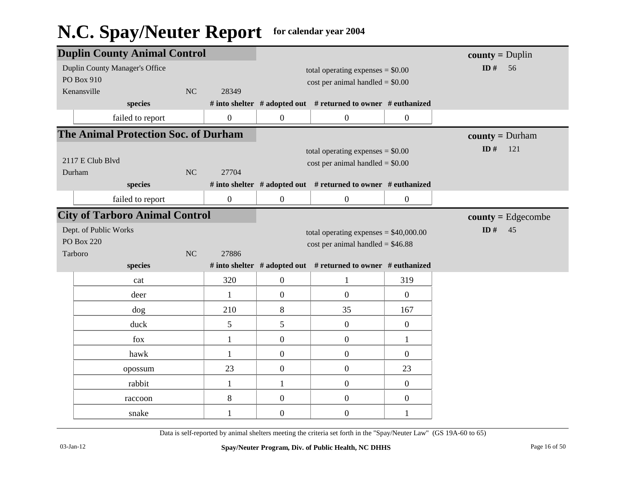|                  | <b>Duplin County Animal Control</b>         |    |                |                                    |                                                               | $county = Duplin$ |                   |
|------------------|---------------------------------------------|----|----------------|------------------------------------|---------------------------------------------------------------|-------------------|-------------------|
|                  | <b>Duplin County Manager's Office</b>       |    |                |                                    | total operating expenses $= $0.00$                            |                   | ID#<br>56         |
|                  | PO Box 910                                  |    |                |                                    | $cost$ per animal handled = $$0.00$                           |                   |                   |
|                  | Kenansville                                 | NC | 28349          |                                    |                                                               |                   |                   |
|                  | species                                     |    |                |                                    | # into shelter # adopted out # returned to owner # euthanized |                   |                   |
|                  | failed to report                            |    | $\mathbf{0}$   | $\boldsymbol{0}$                   | $\boldsymbol{0}$                                              | $\boldsymbol{0}$  |                   |
|                  | <b>The Animal Protection Soc. of Durham</b> |    |                |                                    |                                                               |                   | $county = Durham$ |
|                  |                                             |    |                | total operating expenses $= $0.00$ |                                                               | ID $#$<br>121     |                   |
| 2117 E Club Blvd |                                             |    |                | $cost$ per animal handled = \$0.00 |                                                               |                   |                   |
|                  | Durham                                      | NC | 27704          |                                    |                                                               |                   |                   |
|                  | species                                     |    |                |                                    | # into shelter # adopted out # returned to owner # euthanized |                   |                   |
|                  | failed to report                            |    | $\overline{0}$ | $\boldsymbol{0}$                   | $\boldsymbol{0}$                                              | $\boldsymbol{0}$  |                   |
|                  | <b>City of Tarboro Animal Control</b>       |    |                |                                    | $county = Edgecombe$                                          |                   |                   |
|                  | Dept. of Public Works                       |    |                |                                    | total operating expenses $= $40,000.00$                       |                   | ID#<br>45         |
|                  | <b>PO Box 220</b>                           |    |                |                                    | cost per animal handled = $$46.88$                            |                   |                   |
|                  | Tarboro                                     | NC | 27886          |                                    |                                                               |                   |                   |
|                  | species                                     |    |                |                                    | # into shelter # adopted out # returned to owner # euthanized |                   |                   |
|                  | cat                                         |    | 320            | $\boldsymbol{0}$                   | $\mathbf{1}$                                                  | 319               |                   |
|                  | deer                                        |    | 1              | $\boldsymbol{0}$                   | $\boldsymbol{0}$                                              | $\overline{0}$    |                   |
|                  | dog                                         |    | 210            | 8                                  | 35                                                            | 167               |                   |
|                  | duck                                        |    | 5              | 5                                  | $\boldsymbol{0}$                                              | $\boldsymbol{0}$  |                   |
|                  | fox                                         |    | $\mathbf{1}$   | $\overline{0}$                     | $\overline{0}$                                                | $\mathbf{1}$      |                   |
|                  | hawk                                        |    | $\mathbf{1}$   | $\boldsymbol{0}$                   | $\boldsymbol{0}$                                              | $\boldsymbol{0}$  |                   |
|                  | opossum                                     |    | 23             | $\boldsymbol{0}$                   | $\boldsymbol{0}$                                              | 23                |                   |
|                  | rabbit                                      |    | $\mathbf{1}$   | $\mathbf{1}$                       | $\boldsymbol{0}$                                              | $\overline{0}$    |                   |
|                  | raccoon                                     |    | $8\,$          | $\boldsymbol{0}$                   | $\boldsymbol{0}$                                              | $\boldsymbol{0}$  |                   |
|                  | snake                                       |    | 1              | $\boldsymbol{0}$                   | $\boldsymbol{0}$                                              | 1                 |                   |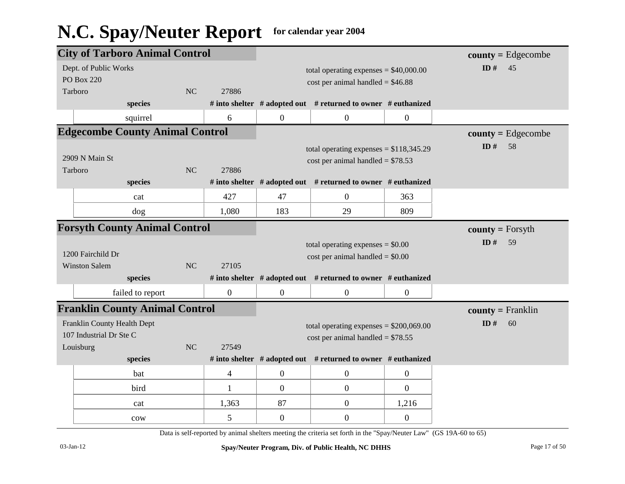|                                       | <b>City of Tarboro Animal Control</b>     |    |                  |                  |                                                                                |                  | $county = Edgecombe$    |
|---------------------------------------|-------------------------------------------|----|------------------|------------------|--------------------------------------------------------------------------------|------------------|-------------------------|
|                                       | Dept. of Public Works                     |    |                  |                  | total operating expenses $= $40,000.00$                                        |                  | ID#<br>45               |
|                                       | <b>PO Box 220</b>                         |    |                  |                  | $cost per animal handled = $46.88$                                             |                  |                         |
|                                       | Tarboro                                   | NC | 27886            |                  |                                                                                |                  |                         |
|                                       | species                                   |    |                  |                  | # into shelter # adopted out # returned to owner # euthanized                  |                  |                         |
|                                       | squirrel                                  |    | 6                | $\boldsymbol{0}$ | $\boldsymbol{0}$                                                               | $\boldsymbol{0}$ |                         |
|                                       | <b>Edgecombe County Animal Control</b>    |    |                  |                  | $county = Edgecombe$                                                           |                  |                         |
|                                       | 2909 N Main St<br>Tarboro                 | NC | 27886            |                  | total operating expenses = $$118,345.29$<br>cost per animal handled = $$78.53$ |                  | ID#<br>58               |
|                                       | species                                   |    |                  |                  | # into shelter # adopted out # returned to owner # euthanized                  |                  |                         |
|                                       | cat                                       |    | 427              | 47               | $\overline{0}$                                                                 | 363              |                         |
|                                       | dog                                       |    | 1,080            | 183              | 29                                                                             | 809              |                         |
|                                       | <b>Forsyth County Animal Control</b>      |    |                  |                  |                                                                                |                  | <b>county</b> = Forsyth |
|                                       | 1200 Fairchild Dr<br><b>Winston Salem</b> | NC | 27105            |                  | total operating expenses $= $0.00$<br>$cost$ per animal handled = \$0.00       |                  | ID#<br>59               |
|                                       | species                                   |    |                  |                  |                                                                                |                  |                         |
|                                       |                                           |    |                  |                  | # into shelter # adopted out # returned to owner # euthanized                  |                  |                         |
| <b>Franklin County Animal Control</b> |                                           |    | $\boldsymbol{0}$ | $\mathbf{0}$     | $\overline{0}$                                                                 | $\mathbf{0}$     |                         |
|                                       | failed to report                          |    |                  |                  |                                                                                |                  | $county = Franklin$     |
|                                       | Franklin County Health Dept               |    |                  |                  | total operating expenses = $$200,069.00$                                       |                  | ID#<br>60               |
|                                       | 107 Industrial Dr Ste C                   |    |                  |                  | $cost per animal handled = $78.55$                                             |                  |                         |
|                                       | Louisburg                                 | NC | 27549            |                  |                                                                                |                  |                         |
|                                       | species                                   |    |                  |                  | # into shelter # adopted out # returned to owner # euthanized                  |                  |                         |
|                                       | bat                                       |    | $\overline{4}$   | $\boldsymbol{0}$ | $\boldsymbol{0}$                                                               | $\boldsymbol{0}$ |                         |
|                                       | bird                                      |    | 1                | $\overline{0}$   | $\boldsymbol{0}$                                                               | $\theta$         |                         |
|                                       | cat                                       |    | 1,363            | 87               | $\boldsymbol{0}$                                                               | 1,216            |                         |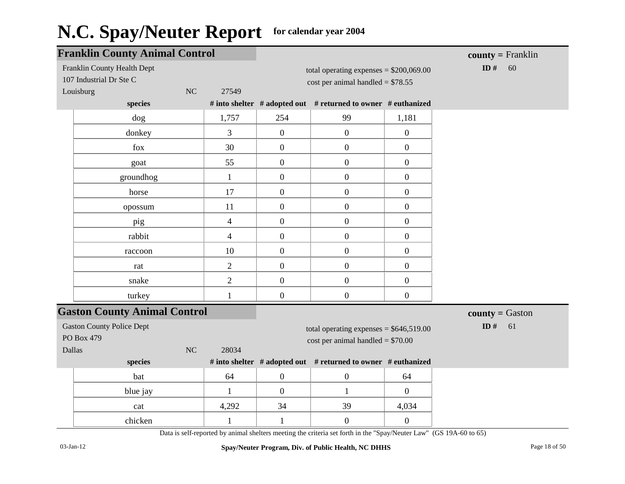|            | <b>Franklin County Animal Control</b>                  |    |                |                  |                                                                                                                    |                  | $county = Franklin$ |
|------------|--------------------------------------------------------|----|----------------|------------------|--------------------------------------------------------------------------------------------------------------------|------------------|---------------------|
| Louisburg  | Franklin County Health Dept<br>107 Industrial Dr Ste C | NC | 27549          |                  | total operating expenses = $$200,069.00$<br>cost per animal handled = $$78.55$                                     |                  | ID $#$<br>60        |
|            | species                                                |    |                |                  | # into shelter # adopted out # returned to owner # euthanized                                                      |                  |                     |
|            | dog                                                    |    | 1,757          | 254              | 99                                                                                                                 | 1,181            |                     |
|            | donkey                                                 |    | 3              | $\boldsymbol{0}$ | $\boldsymbol{0}$                                                                                                   | $\boldsymbol{0}$ |                     |
|            | fox                                                    |    | 30             | $\overline{0}$   | $\boldsymbol{0}$                                                                                                   | $\boldsymbol{0}$ |                     |
|            | goat                                                   |    | 55             | $\boldsymbol{0}$ | $\boldsymbol{0}$                                                                                                   | $\mathbf{0}$     |                     |
|            | groundhog                                              |    | $\mathbf{1}$   | $\boldsymbol{0}$ | $\boldsymbol{0}$                                                                                                   | $\boldsymbol{0}$ |                     |
|            | horse                                                  |    | 17             | $\boldsymbol{0}$ | $\boldsymbol{0}$                                                                                                   | $\overline{0}$   |                     |
|            | opossum                                                |    | 11             | $\mathbf{0}$     | $\boldsymbol{0}$                                                                                                   | $\boldsymbol{0}$ |                     |
|            | pig                                                    |    | $\overline{4}$ | $\boldsymbol{0}$ | $\boldsymbol{0}$                                                                                                   | $\boldsymbol{0}$ |                     |
|            | rabbit                                                 |    | $\overline{4}$ | $\boldsymbol{0}$ | $\boldsymbol{0}$                                                                                                   | $\boldsymbol{0}$ |                     |
|            | raccoon                                                |    | 10             | $\mathbf{0}$     | $\boldsymbol{0}$                                                                                                   | $\overline{0}$   |                     |
|            | rat                                                    |    | $\overline{c}$ | $\boldsymbol{0}$ | $\boldsymbol{0}$                                                                                                   | $\overline{0}$   |                     |
|            | snake                                                  |    | $\overline{2}$ | $\boldsymbol{0}$ | $\boldsymbol{0}$                                                                                                   | $\boldsymbol{0}$ |                     |
|            | turkey                                                 |    | $\mathbf{1}$   | $\boldsymbol{0}$ | $\boldsymbol{0}$                                                                                                   | $\boldsymbol{0}$ |                     |
|            | <b>Gaston County Animal Control</b>                    |    |                |                  |                                                                                                                    |                  | $county = Gaston$   |
| PO Box 479 | <b>Gaston County Police Dept</b>                       |    |                |                  | total operating expenses = $$646,519.00$<br>$cost$ per animal handled = \$70.00                                    | ID $\#$<br>61    |                     |
| Dallas     |                                                        | NC | 28034          |                  |                                                                                                                    |                  |                     |
|            | species                                                |    |                |                  | # into shelter # adopted out # returned to owner # euthanized                                                      |                  |                     |
|            | bat                                                    |    | 64             | $\boldsymbol{0}$ | $\boldsymbol{0}$                                                                                                   | 64               |                     |
|            | blue jay                                               |    | $\mathbf{1}$   | $\mathbf{0}$     | $\mathbf{1}$                                                                                                       | $\overline{0}$   |                     |
|            | cat                                                    |    | 4,292          | 34               | 39                                                                                                                 | 4,034            |                     |
|            | chicken                                                |    | 1              | 1                | $\boldsymbol{0}$                                                                                                   | $\overline{0}$   |                     |
|            |                                                        |    |                |                  | Data is self-reported by animal shelters meeting the criteria set forth in the "Spay/Neuter Law" (GS 19A-60 to 65) |                  |                     |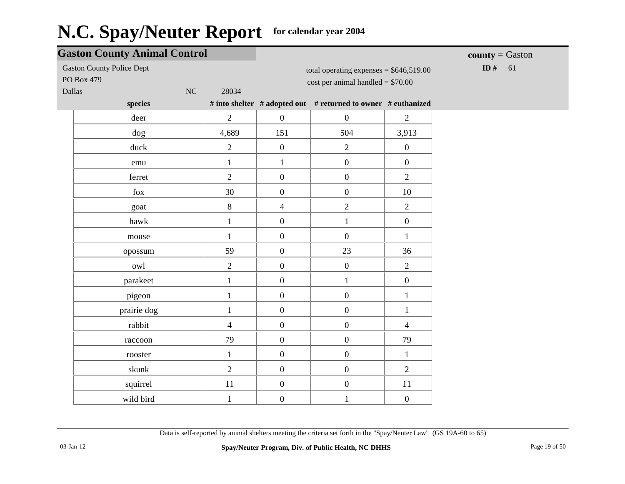|                                                | <b>Gaston County Animal Control</b> |                  |                                                                                 |                  | <b>county</b> = $G$ aston |
|------------------------------------------------|-------------------------------------|------------------|---------------------------------------------------------------------------------|------------------|---------------------------|
| <b>Gaston County Police Dept</b><br>PO Box 479 |                                     |                  | total operating expenses = $$646,519.00$<br>$cost$ per animal handled = \$70.00 |                  | ID $#$<br>61              |
| Dallas<br>$\rm NC$                             | 28034                               |                  |                                                                                 |                  |                           |
| species                                        |                                     |                  | # into shelter # adopted out # returned to owner # euthanized                   |                  |                           |
| deer                                           | $\overline{2}$                      | $\overline{0}$   | $\boldsymbol{0}$                                                                | $\sqrt{2}$       |                           |
| dog                                            | 4,689                               | 151              | 504                                                                             | 3,913            |                           |
| duck                                           | $\overline{2}$                      | $\boldsymbol{0}$ | $\overline{2}$                                                                  | $\boldsymbol{0}$ |                           |
| emu                                            | $\mathbf{1}$                        | $\mathbf{1}$     | $\boldsymbol{0}$                                                                | $\boldsymbol{0}$ |                           |
| ferret                                         | $\overline{2}$                      | $\boldsymbol{0}$ | $\boldsymbol{0}$                                                                | $\overline{2}$   |                           |
| fox                                            | 30                                  | $\mathbf{0}$     | $\boldsymbol{0}$                                                                | 10               |                           |
| goat                                           | 8                                   | $\overline{4}$   | $\overline{2}$                                                                  | $\overline{2}$   |                           |
| hawk                                           | $\mathbf{1}$                        | $\mathbf{0}$     | $\mathbf{1}$                                                                    | $\boldsymbol{0}$ |                           |
| mouse                                          | $\mathbf{1}$                        | $\overline{0}$   | $\boldsymbol{0}$                                                                | $\mathbf{1}$     |                           |
| opossum                                        | 59                                  | $\mathbf{0}$     | 23                                                                              | 36               |                           |
| owl                                            | $\overline{2}$                      | $\overline{0}$   | $\boldsymbol{0}$                                                                | $\overline{2}$   |                           |
| parakeet                                       | $\mathbf{1}$                        | $\mathbf{0}$     | $\mathbf{1}$                                                                    | $\boldsymbol{0}$ |                           |
| pigeon                                         | $\mathbf{1}$                        | $\overline{0}$   | $\boldsymbol{0}$                                                                | $\mathbf{1}$     |                           |
| prairie dog                                    | $\mathbf{1}$                        | $\overline{0}$   | $\boldsymbol{0}$                                                                | $\mathbf{1}$     |                           |
| rabbit                                         | $\overline{4}$                      | $\mathbf{0}$     | $\boldsymbol{0}$                                                                | $\overline{4}$   |                           |
| raccoon                                        | 79                                  | $\overline{0}$   | $\boldsymbol{0}$                                                                | 79               |                           |
| rooster                                        | $\mathbf{1}$                        | $\mathbf{0}$     | $\boldsymbol{0}$                                                                | $\mathbf{1}$     |                           |
| skunk                                          | $\overline{2}$                      | $\overline{0}$   | $\boldsymbol{0}$                                                                | $\mathbf{2}$     |                           |
| squirrel                                       | 11                                  | $\boldsymbol{0}$ | $\boldsymbol{0}$                                                                | 11               |                           |
| wild bird                                      | $\mathbf{1}$                        | $\boldsymbol{0}$ | $\mathbf{1}$                                                                    | $\boldsymbol{0}$ |                           |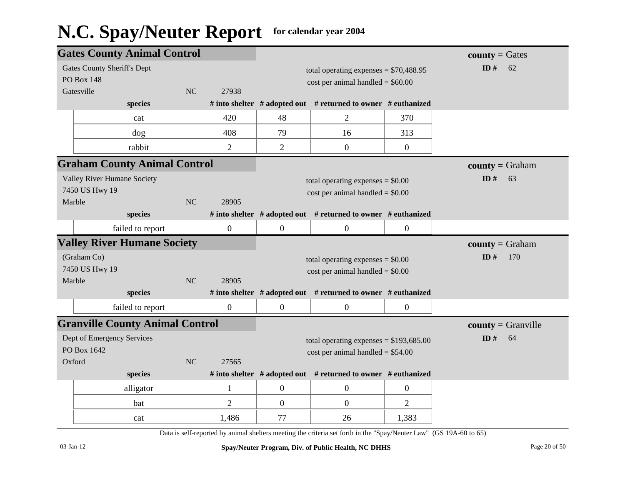|        | <b>Gates County Animal Control</b>                      |           |                  |                  |                                                                                 |                  | $county = Gates$         |
|--------|---------------------------------------------------------|-----------|------------------|------------------|---------------------------------------------------------------------------------|------------------|--------------------------|
|        | <b>Gates County Sheriff's Dept</b><br><b>PO Box 148</b> |           |                  |                  | total operating expenses = $$70,488.95$<br>$cost$ per animal handled = \$60.00  |                  | ID#<br>62                |
|        | Gatesville                                              | <b>NC</b> | 27938            |                  |                                                                                 |                  |                          |
|        | species                                                 |           |                  |                  | # into shelter $#$ adopted out $#$ returned to owner $#$ euthanized             |                  |                          |
|        | cat                                                     |           | 420              | 48               | $\overline{2}$                                                                  | 370              |                          |
|        | dog                                                     |           | 408              | 79               | 16                                                                              | 313              |                          |
|        | rabbit                                                  |           | $\overline{2}$   | $\overline{2}$   | $\boldsymbol{0}$                                                                | $\boldsymbol{0}$ |                          |
|        | <b>Graham County Animal Control</b>                     |           |                  |                  |                                                                                 |                  | $county = Graham$        |
| Marble | Valley River Humane Society<br>7450 US Hwy 19           | <b>NC</b> | 28905            |                  | total operating expenses $= $0.00$<br>$cost$ per animal handled = $$0.00$       |                  | ID $#$<br>63             |
|        | species                                                 |           |                  |                  | # into shelter # adopted out # returned to owner # euthanized                   |                  |                          |
|        | failed to report                                        |           | $\boldsymbol{0}$ | $\mathbf{0}$     | $\boldsymbol{0}$                                                                | $\mathbf{0}$     |                          |
|        |                                                         |           |                  |                  |                                                                                 |                  |                          |
|        | <b>Valley River Humane Society</b>                      |           |                  |                  |                                                                                 |                  | <b>county</b> = $Graham$ |
|        | (Graham Co)                                             |           |                  |                  | total operating expenses $= $0.00$                                              |                  | ID#<br>170               |
|        | 7450 US Hwy 19                                          |           |                  |                  | $cost$ per animal handled = \$0.00                                              |                  |                          |
| Marble |                                                         | <b>NC</b> | 28905            |                  |                                                                                 |                  |                          |
|        | species                                                 |           |                  |                  | # into shelter # adopted out # returned to owner # euthanized                   |                  |                          |
|        | failed to report                                        |           | $\boldsymbol{0}$ | $\boldsymbol{0}$ | $\overline{0}$                                                                  | $\mathbf{0}$     |                          |
|        | <b>Granville County Animal Control</b>                  |           |                  |                  |                                                                                 |                  | $county = Granville$     |
| Oxford | Dept of Emergency Services<br>PO Box 1642               | <b>NC</b> | 27565            |                  | total operating expenses = $$193,685.00$<br>$cost$ per animal handled = \$54.00 |                  | ID $#$<br>64             |
|        | species                                                 |           |                  |                  | # into shelter # adopted out # returned to owner # euthanized                   |                  |                          |
|        | alligator                                               |           | 1                | $\mathbf{0}$     | $\mathbf{0}$                                                                    | $\overline{0}$   |                          |
|        | bat                                                     |           | 2                | $\mathbf{0}$     | $\overline{0}$                                                                  | $\overline{2}$   |                          |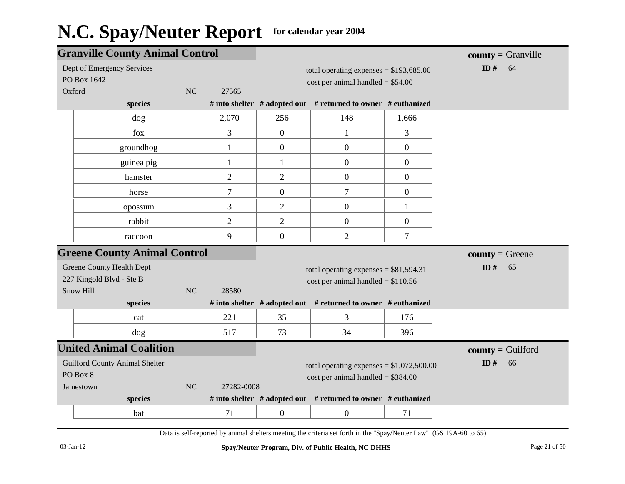|        | <b>Granville County Animal Control</b> |    |                |                                         |                                                               | $county = Granville$ |                     |
|--------|----------------------------------------|----|----------------|-----------------------------------------|---------------------------------------------------------------|----------------------|---------------------|
|        | Dept of Emergency Services             |    |                |                                         | total operating expenses = $$193,685.00$                      |                      | ID $#$<br>64        |
|        | PO Box 1642                            |    |                |                                         | $cost$ per animal handled = \$54.00                           |                      |                     |
| Oxford |                                        | NC | 27565          |                                         |                                                               |                      |                     |
|        | species                                |    |                |                                         | # into shelter # adopted out # returned to owner # euthanized |                      |                     |
|        | dog                                    |    | 2,070          | 256                                     | 148                                                           | 1,666                |                     |
|        | fox                                    |    | $\mathfrak{Z}$ | $\mathbf{0}$                            | $\mathbf{1}$                                                  | 3                    |                     |
|        | groundhog                              |    | $\mathbf{1}$   | $\mathbf{0}$                            | $\boldsymbol{0}$                                              | $\boldsymbol{0}$     |                     |
|        | guinea pig                             |    | $\mathbf{1}$   | $\mathbf{1}$                            | $\boldsymbol{0}$                                              | $\overline{0}$       |                     |
|        | hamster                                |    | $\overline{2}$ | $\mathfrak{2}$                          | $\boldsymbol{0}$                                              | $\boldsymbol{0}$     |                     |
|        | horse                                  |    | $\tau$         | $\boldsymbol{0}$                        | $\boldsymbol{7}$                                              | $\boldsymbol{0}$     |                     |
|        | opossum                                |    | 3              | $\mathfrak{2}$                          | $\boldsymbol{0}$                                              | $\mathbf{1}$         |                     |
|        | rabbit                                 |    | $\overline{2}$ | $\overline{2}$                          | $\overline{0}$                                                | $\boldsymbol{0}$     |                     |
|        | raccoon                                |    | 9              | $\mathbf{0}$                            | $\mathfrak{2}$                                                | $\tau$               |                     |
|        | <b>Greene County Animal Control</b>    |    |                |                                         |                                                               |                      | $county = Green$    |
|        | <b>Greene County Health Dept</b>       |    |                | total operating expenses = $$81,594.31$ |                                                               |                      | ID#<br>65           |
|        | 227 Kingold Blvd - Ste B               |    |                | $cost$ per animal handled = \$110.56    |                                                               |                      |                     |
|        | Snow Hill                              | NC | 28580          |                                         |                                                               |                      |                     |
|        | species                                |    |                |                                         | # into shelter # adopted out # returned to owner # euthanized |                      |                     |
|        | cat                                    |    | 221            | 35                                      | 3                                                             | 176                  |                     |
|        | dog                                    |    | 517            | 73                                      | 34                                                            | 396                  |                     |
|        | <b>United Animal Coalition</b>         |    |                |                                         |                                                               |                      | $county =$ Guilford |
|        | <b>Guilford County Animal Shelter</b>  |    |                |                                         | total operating expenses = $$1,072,500.00$                    |                      | ID#<br>66           |
|        | PO Box 8                               |    |                |                                         | cost per animal handled = $$384.00$                           |                      |                     |
|        | Jamestown                              | NC | 27282-0008     |                                         |                                                               |                      |                     |
|        | species                                |    |                |                                         | # into shelter # adopted out # returned to owner # euthanized |                      |                     |
|        | bat                                    |    | 71             | $\mathbf{0}$                            | $\boldsymbol{0}$                                              | 71                   |                     |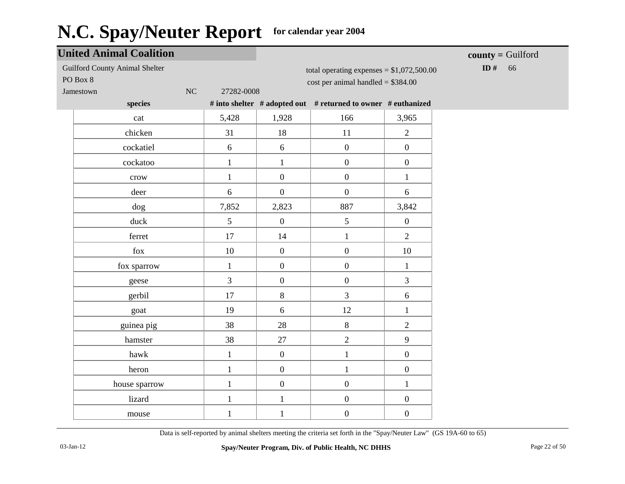|                                                   | <b>United Animal Coalition</b> |                        |                  |                                                                                    |                  | $county =$ Guilford |
|---------------------------------------------------|--------------------------------|------------------------|------------------|------------------------------------------------------------------------------------|------------------|---------------------|
| <b>Guilford County Animal Shelter</b><br>PO Box 8 |                                |                        |                  | total operating expenses = $$1,072,500.00$<br>$cost$ per animal handled = \$384.00 |                  | ID#<br>66           |
| Jamestown                                         |                                | $\rm NC$<br>27282-0008 |                  |                                                                                    |                  |                     |
|                                                   | species                        |                        |                  | # into shelter # adopted out # returned to owner # euthanized                      |                  |                     |
|                                                   | cat                            | 5,428                  | 1,928            | 166                                                                                | 3,965            |                     |
|                                                   | chicken                        | 31                     | 18               | 11                                                                                 | $\overline{2}$   |                     |
|                                                   | cockatiel                      | 6                      | 6                | $\boldsymbol{0}$                                                                   | $\boldsymbol{0}$ |                     |
|                                                   | cockatoo                       | $\mathbf{1}$           | $\mathbf{1}$     | $\boldsymbol{0}$                                                                   | $\boldsymbol{0}$ |                     |
|                                                   | crow                           | $\mathbf{1}$           | $\boldsymbol{0}$ | $\boldsymbol{0}$                                                                   | $\mathbf{1}$     |                     |
|                                                   | deer                           | 6                      | $\overline{0}$   | $\boldsymbol{0}$                                                                   | 6                |                     |
|                                                   | dog                            | 7,852                  | 2,823            | 887                                                                                | 3,842            |                     |
|                                                   | duck                           | 5                      | $\boldsymbol{0}$ | 5                                                                                  | $\boldsymbol{0}$ |                     |
|                                                   | ferret                         | 17                     | 14               | $\mathbf{1}$                                                                       | $\overline{2}$   |                     |
|                                                   | $f_{OX}$                       | $10\,$                 | $\boldsymbol{0}$ | $\boldsymbol{0}$                                                                   | $10\,$           |                     |
|                                                   | fox sparrow                    | $\mathbf{1}$           | $\overline{0}$   | $\boldsymbol{0}$                                                                   | $\mathbf{1}$     |                     |
|                                                   | geese                          | $\overline{3}$         | $\boldsymbol{0}$ | $\boldsymbol{0}$                                                                   | $\overline{3}$   |                     |
|                                                   | gerbil                         | 17                     | 8                | $\overline{3}$                                                                     | $6\,$            |                     |
|                                                   | goat                           | 19                     | 6                | 12                                                                                 | $\mathbf 1$      |                     |
|                                                   | guinea pig                     | 38                     | 28               | $\,8\,$                                                                            | $\sqrt{2}$       |                     |
|                                                   | hamster                        | 38                     | 27               | $\overline{2}$                                                                     | 9                |                     |
|                                                   | hawk                           | $\mathbf{1}$           | $\boldsymbol{0}$ | $\mathbf{1}$                                                                       | $\overline{0}$   |                     |
|                                                   | heron                          | $\mathbf{1}$           | $\boldsymbol{0}$ | $\mathbf{1}$                                                                       | $\overline{0}$   |                     |
|                                                   | house sparrow                  | $\mathbf{1}$           | $\boldsymbol{0}$ | $\boldsymbol{0}$                                                                   | $\,1$            |                     |
|                                                   | lizard                         | $\mathbf{1}$           | $\mathbf{1}$     | $\boldsymbol{0}$                                                                   | $\boldsymbol{0}$ |                     |
|                                                   | mouse                          | $\mathbf{1}$           | $\mathbf{1}$     | $\boldsymbol{0}$                                                                   | $\boldsymbol{0}$ |                     |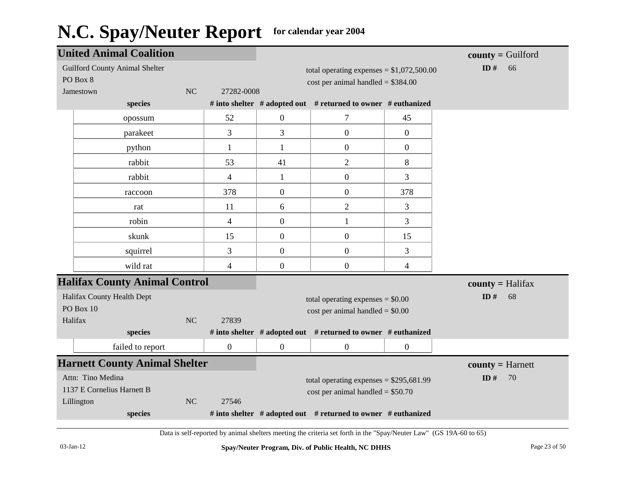| <b>United Animal Coalition</b>        |           |                  |                                     |                                                               |                  | $county =$ Guilford       |
|---------------------------------------|-----------|------------------|-------------------------------------|---------------------------------------------------------------|------------------|---------------------------|
| <b>Guilford County Animal Shelter</b> |           |                  |                                     | total operating expenses = $$1,072,500.00$                    |                  | ID#<br>66                 |
| PO Box 8                              |           |                  |                                     | $cost$ per animal handled = \$384.00                          |                  |                           |
| Jamestown                             | NC        | 27282-0008       |                                     |                                                               |                  |                           |
| species                               |           |                  |                                     | # into shelter # adopted out # returned to owner # euthanized |                  |                           |
| opossum                               |           | 52               | $\overline{0}$                      | 7                                                             | 45               |                           |
| parakeet                              |           | 3                | $\overline{3}$                      | $\overline{0}$                                                | $\overline{0}$   |                           |
| python                                |           | $\mathbf{1}$     | $\mathbf{1}$                        | $\boldsymbol{0}$                                              | $\boldsymbol{0}$ |                           |
| rabbit                                |           | 53               | 41                                  | $\overline{2}$                                                | 8                |                           |
| rabbit                                |           | $\overline{4}$   | $\mathbf{1}$                        | $\boldsymbol{0}$                                              | 3                |                           |
| raccoon                               |           | 378              | $\overline{0}$                      | $\boldsymbol{0}$                                              | 378              |                           |
| rat                                   |           | 11               | 6                                   | $\overline{2}$                                                | 3                |                           |
| robin                                 |           | $\overline{4}$   | $\boldsymbol{0}$                    | $\mathbf{1}$                                                  | 3                |                           |
| skunk                                 |           | 15               | $\mathbf{0}$                        | $\boldsymbol{0}$                                              | 15               |                           |
| squirrel                              |           | 3                | $\mathbf{0}$                        | $\boldsymbol{0}$                                              | 3                |                           |
| wild rat                              |           | $\overline{4}$   | $\boldsymbol{0}$                    | $\boldsymbol{0}$                                              | 4                |                           |
| <b>Halifax County Animal Control</b>  |           |                  |                                     |                                                               |                  | $county = \text{Halifax}$ |
| Halifax County Health Dept            |           |                  |                                     | total operating expenses $= $0.00$                            |                  | ID $#$<br>68              |
| PO Box 10                             |           |                  |                                     | $cost$ per animal handled = \$0.00                            |                  |                           |
| Halifax                               | NC        | 27839            |                                     |                                                               |                  |                           |
| species                               |           |                  |                                     | # into shelter # adopted out # returned to owner # euthanized |                  |                           |
| failed to report                      |           | $\boldsymbol{0}$ | $\boldsymbol{0}$                    | $\boldsymbol{0}$                                              | $\boldsymbol{0}$ |                           |
| <b>Harnett County Animal Shelter</b>  |           |                  |                                     |                                                               |                  | $county = Harnett$        |
| Attn: Tino Medina                     |           |                  |                                     | total operating expenses = $$295,681.99$                      |                  | ID $#$<br>70              |
| 1137 E Cornelius Harnett B            |           |                  | $cost$ per animal handled = \$50.70 |                                                               |                  |                           |
| Lillington                            | <b>NC</b> | 27546            |                                     |                                                               |                  |                           |
| species                               |           |                  |                                     | # into shelter # adopted out # returned to owner # euthanized |                  |                           |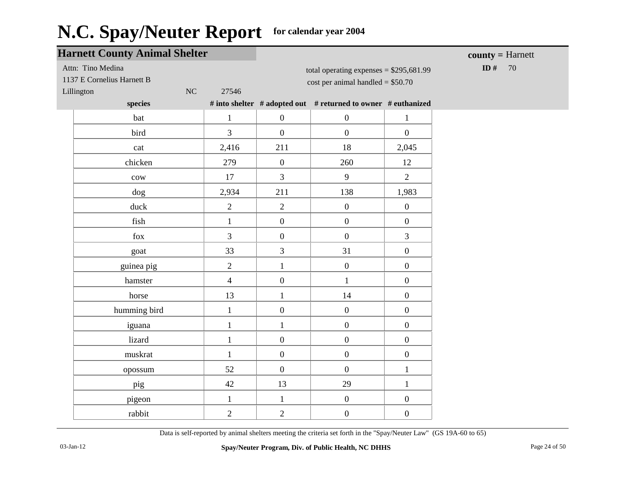| <b>Harnett County Animal Shelter</b>            |                |                  |                                                                                 | $county = Harnett$ |            |
|-------------------------------------------------|----------------|------------------|---------------------------------------------------------------------------------|--------------------|------------|
| Attn: Tino Medina<br>1137 E Cornelius Harnett B |                |                  | total operating expenses = $$295,681.99$<br>$cost$ per animal handled = \$50.70 |                    | ID #<br>70 |
| $\rm NC$<br>Lillington                          | 27546          |                  |                                                                                 |                    |            |
| species                                         |                |                  | # into shelter # adopted out # returned to owner # euthanized                   |                    |            |
| bat                                             | $\mathbf{1}$   | $\boldsymbol{0}$ | $\boldsymbol{0}$                                                                | $\mathbf{1}$       |            |
| bird                                            | $\overline{3}$ | $\boldsymbol{0}$ | $\overline{0}$                                                                  | $\overline{0}$     |            |
| cat                                             | 2,416          | 211              | 18                                                                              | 2,045              |            |
| chicken                                         | 279            | $\boldsymbol{0}$ | 260                                                                             | 12                 |            |
| $_{\rm{cov}}$                                   | 17             | 3                | 9                                                                               | $\overline{2}$     |            |
| dog                                             | 2,934          | 211              | 138                                                                             | 1,983              |            |
| duck                                            | $\overline{2}$ | $\overline{2}$   | $\boldsymbol{0}$                                                                | $\overline{0}$     |            |
| fish                                            | $\mathbf{1}$   | $\boldsymbol{0}$ | $\boldsymbol{0}$                                                                | $\overline{0}$     |            |
| fox                                             | $\overline{3}$ | $\boldsymbol{0}$ | $\boldsymbol{0}$                                                                | $\overline{3}$     |            |
| goat                                            | 33             | 3                | 31                                                                              | $\overline{0}$     |            |
| guinea pig                                      | $\overline{2}$ | $\mathbf{1}$     | $\boldsymbol{0}$                                                                | $\overline{0}$     |            |
| hamster                                         | $\overline{4}$ | $\boldsymbol{0}$ | $\mathbf{1}$                                                                    | $\boldsymbol{0}$   |            |
| horse                                           | 13             | $\mathbf{1}$     | 14                                                                              | $\overline{0}$     |            |
| humming bird                                    | $\mathbf{1}$   | $\boldsymbol{0}$ | $\overline{0}$                                                                  | $\overline{0}$     |            |
| iguana                                          | $\mathbf{1}$   | $\mathbf{1}$     | $\overline{0}$                                                                  | $\overline{0}$     |            |
| lizard                                          | $\mathbf{1}$   | $\boldsymbol{0}$ | $\boldsymbol{0}$                                                                | $\overline{0}$     |            |
| muskrat                                         | $\mathbf{1}$   | $\boldsymbol{0}$ | $\boldsymbol{0}$                                                                | $\boldsymbol{0}$   |            |
| opossum                                         | 52             | $\boldsymbol{0}$ | $\boldsymbol{0}$                                                                | $\mathbf{1}$       |            |
| pig                                             | 42             | 13               | 29                                                                              | $\mathbf{1}$       |            |
| pigeon                                          | $\mathbf{1}$   | $\mathbf{1}$     | $\boldsymbol{0}$                                                                | $\overline{0}$     |            |
| rabbit                                          | $\overline{2}$ | $\overline{2}$   | $\boldsymbol{0}$                                                                | $\overline{0}$     |            |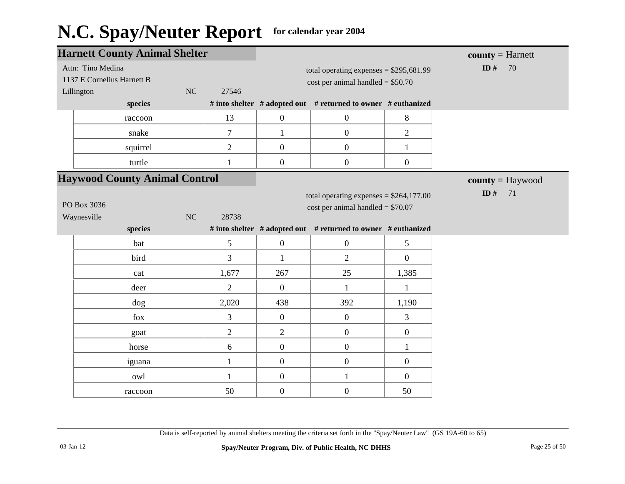|                                      | <b>Harnett County Animal Shelter</b> |    |                                    |                                     |                                                               |                    | $county = Harnett$ |
|--------------------------------------|--------------------------------------|----|------------------------------------|-------------------------------------|---------------------------------------------------------------|--------------------|--------------------|
|                                      | Attn: Tino Medina                    |    |                                    |                                     | total operating expenses = $$295,681.99$                      | ID $#$<br>70       |                    |
|                                      | 1137 E Cornelius Harnett B           |    |                                    | $cost$ per animal handled = \$50.70 |                                                               |                    |                    |
| Lillington                           |                                      | NC | 27546                              |                                     |                                                               |                    |                    |
|                                      | species                              |    |                                    |                                     | # into shelter # adopted out # returned to owner # euthanized |                    |                    |
|                                      | raccoon                              |    | 13                                 | $\boldsymbol{0}$                    | $\mathbf{0}$                                                  | 8                  |                    |
|                                      | snake                                |    | $\tau$                             | $\mathbf{1}$                        | $\overline{0}$                                                | $\overline{2}$     |                    |
|                                      | squirrel                             |    | $\overline{2}$                     | $\boldsymbol{0}$                    | $\boldsymbol{0}$                                              | $\mathbf{1}$       |                    |
|                                      | turtle                               |    | 1                                  | $\boldsymbol{0}$                    | $\boldsymbol{0}$                                              | $\boldsymbol{0}$   |                    |
| <b>Haywood County Animal Control</b> |                                      |    |                                    |                                     |                                                               | $county = Haywood$ |                    |
|                                      |                                      |    |                                    |                                     | total operating expenses = $$264,177.00$                      |                    | ID $#$<br>71       |
| PO Box 3036                          |                                      |    | cost per animal handled = $$70.07$ |                                     |                                                               |                    |                    |
| Waynesville<br><b>NC</b><br>28738    |                                      |    |                                    |                                     |                                                               |                    |                    |
|                                      | species                              |    |                                    |                                     | # into shelter # adopted out # returned to owner # euthanized |                    |                    |
|                                      | bat                                  |    | 5                                  | $\boldsymbol{0}$                    | $\boldsymbol{0}$                                              | 5                  |                    |
|                                      | bird                                 |    | 3                                  | $\mathbf{1}$                        | $\overline{2}$                                                | $\mathbf{0}$       |                    |
|                                      | cat                                  |    | 1,677                              | 267                                 | 25                                                            | 1,385              |                    |
|                                      | deer                                 |    | $\overline{2}$                     | $\overline{0}$                      | $\mathbf{1}$                                                  | $\mathbf{1}$       |                    |
|                                      | $\log$                               |    | 2,020                              | 438                                 | 392                                                           | 1,190              |                    |
|                                      | fox                                  |    | 3                                  | $\boldsymbol{0}$                    | $\boldsymbol{0}$                                              | 3                  |                    |
|                                      | goat                                 |    | $\overline{2}$                     | $\overline{2}$                      | $\overline{0}$                                                | $\mathbf{0}$       |                    |
|                                      | horse                                |    | 6                                  | $\boldsymbol{0}$                    | $\boldsymbol{0}$                                              | $\mathbf{1}$       |                    |
|                                      | iguana                               |    | $\mathbf{1}$                       | $\overline{0}$                      | $\boldsymbol{0}$                                              | $\boldsymbol{0}$   |                    |
|                                      | owl                                  |    | $\mathbf{1}$                       | $\boldsymbol{0}$                    | $\mathbf{1}$                                                  | $\boldsymbol{0}$   |                    |
|                                      | raccoon                              |    | 50                                 | $\boldsymbol{0}$                    | $\boldsymbol{0}$                                              | 50                 |                    |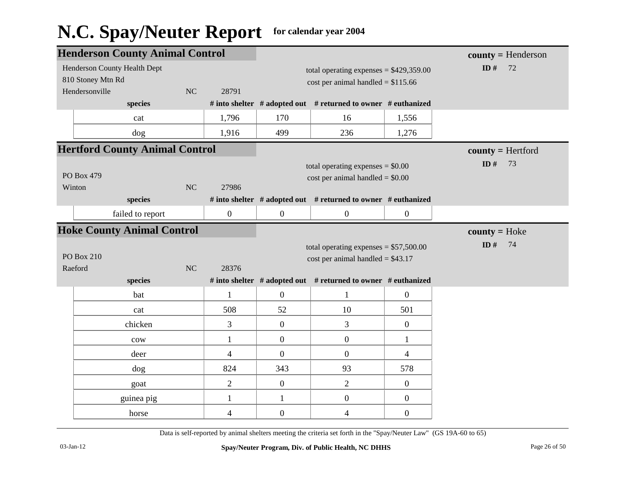|            | <b>Henderson County Animal Control</b> |    |                                    |                                          |                                                               | $county = Henderson$ |                     |
|------------|----------------------------------------|----|------------------------------------|------------------------------------------|---------------------------------------------------------------|----------------------|---------------------|
|            | Henderson County Health Dept           |    |                                    | total operating expenses = $$429,359.00$ |                                                               |                      | ID $#$<br>72        |
|            | 810 Stoney Mtn Rd                      |    |                                    | $cost$ per animal handled = \$115.66     |                                                               |                      |                     |
|            | Hendersonville                         | NC | 28791                              |                                          |                                                               |                      |                     |
|            | species                                |    |                                    |                                          | # into shelter # adopted out # returned to owner # euthanized |                      |                     |
|            | cat                                    |    | 1,796                              | 170                                      | 16                                                            | 1,556                |                     |
|            | dog                                    |    | 1,916                              | 499                                      | 236                                                           | 1,276                |                     |
|            | <b>Hertford County Animal Control</b>  |    |                                    |                                          |                                                               |                      | $county = Hertford$ |
|            |                                        |    |                                    | total operating expenses $= $0.00$       |                                                               | ID $#$<br>73         |                     |
| PO Box 479 |                                        |    | $cost$ per animal handled = \$0.00 |                                          |                                                               |                      |                     |
|            | Winton                                 | NC | 27986                              |                                          |                                                               |                      |                     |
|            | species                                |    |                                    |                                          | # into shelter # adopted out # returned to owner # euthanized |                      |                     |
|            | failed to report                       |    | $\overline{0}$                     | $\overline{0}$                           | $\boldsymbol{0}$                                              | $\boldsymbol{0}$     |                     |
|            | <b>Hoke County Animal Control</b>      |    |                                    |                                          |                                                               |                      | $county = Hoke$     |
|            |                                        |    |                                    |                                          | total operating expenses $= $57,500.00$                       |                      | ID $#$<br>74        |
|            | <b>PO Box 210</b>                      |    |                                    |                                          | cost per animal handled = $$43.17$                            |                      |                     |
|            | Raeford                                | NC | 28376                              |                                          |                                                               |                      |                     |
|            | species                                |    |                                    |                                          | # into shelter # adopted out # returned to owner # euthanized |                      |                     |
|            | bat                                    |    | $\mathbf{1}$                       | $\overline{0}$                           | $\mathbf{1}$                                                  | $\boldsymbol{0}$     |                     |
|            | cat                                    |    | 508                                | 52                                       | 10                                                            | 501                  |                     |
|            | chicken                                |    | 3                                  | $\boldsymbol{0}$                         | 3                                                             | $\boldsymbol{0}$     |                     |
|            | cow                                    |    | $\mathbf{1}$                       | $\boldsymbol{0}$                         | $\boldsymbol{0}$                                              | $\mathbf{1}$         |                     |
|            | deer                                   |    | $\overline{4}$                     | $\overline{0}$                           | $\boldsymbol{0}$                                              | $\overline{4}$       |                     |
|            | dog                                    |    | 824                                | 343                                      | 93                                                            | 578                  |                     |
|            | goat                                   |    | $\overline{2}$                     | $\boldsymbol{0}$                         | $\sqrt{2}$                                                    | $\boldsymbol{0}$     |                     |
|            | guinea pig                             |    | $\mathbf{1}$                       | $\mathbf{1}$                             | $\boldsymbol{0}$                                              | $\boldsymbol{0}$     |                     |
|            | horse                                  |    | $\overline{4}$                     | $\overline{0}$                           | $\overline{\mathcal{A}}$                                      | $\boldsymbol{0}$     |                     |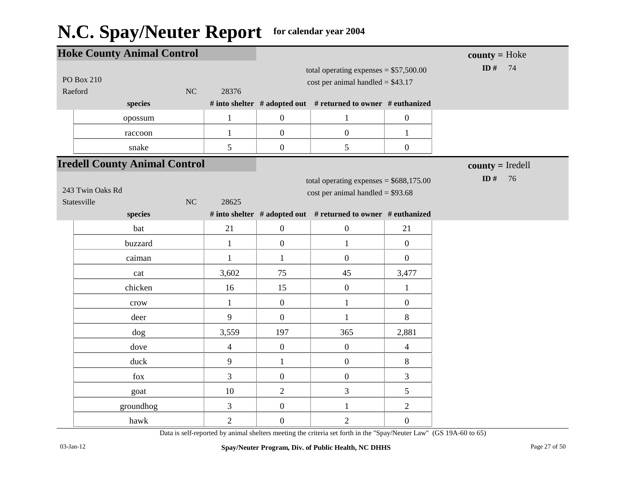| <b>Hoke County Animal Control</b>           |                |                  |                                                                                |                  | $county = Hoke$    |
|---------------------------------------------|----------------|------------------|--------------------------------------------------------------------------------|------------------|--------------------|
| <b>PO Box 210</b><br>Raeford<br>NC          | 28376          |                  | total operating expenses = $$57,500.00$<br>cost per animal handled = $$43.17$  | ID#<br>74        |                    |
| species                                     |                |                  | # into shelter # adopted out # returned to owner # euthanized                  |                  |                    |
| opossum                                     | $\mathbf{1}$   | $\boldsymbol{0}$ | $\mathbf{1}$                                                                   | $\boldsymbol{0}$ |                    |
| raccoon                                     | $\mathbf{1}$   | $\boldsymbol{0}$ | $\boldsymbol{0}$                                                               | $\mathbf{1}$     |                    |
| snake                                       | 5              | $\overline{0}$   | $\mathfrak{S}$                                                                 | $\boldsymbol{0}$ |                    |
| <b>Iredell County Animal Control</b>        |                |                  |                                                                                |                  | $county = Iredell$ |
| 243 Twin Oaks Rd<br>$\rm NC$<br>Statesville | 28625          |                  | total operating expenses = $$688,175.00$<br>cost per animal handled = $$93.68$ |                  | ID#<br>76          |
| species                                     |                |                  | # into shelter # adopted out # returned to owner # euthanized                  |                  |                    |
| bat                                         | 21             | $\overline{0}$   | $\boldsymbol{0}$                                                               | 21               |                    |
| buzzard                                     | $\mathbf{1}$   | $\overline{0}$   | $\mathbf{1}$                                                                   | $\mathbf{0}$     |                    |
| caiman                                      | $\mathbf{1}$   | $\mathbf{1}$     | $\overline{0}$                                                                 | $\overline{0}$   |                    |
| cat                                         | 3,602          | 75               | 45                                                                             | 3,477            |                    |
| chicken                                     | 16             | 15               | $\boldsymbol{0}$                                                               | $\mathbf{1}$     |                    |
| crow                                        | $\mathbf{1}$   | $\overline{0}$   | $\mathbf{1}$                                                                   | $\boldsymbol{0}$ |                    |
| deer                                        | 9              | $\overline{0}$   | $\mathbf{1}$                                                                   | 8                |                    |
| $\log$                                      | 3,559          | 197              | 365                                                                            | 2,881            |                    |
| dove                                        | $\overline{4}$ | $\boldsymbol{0}$ | $\boldsymbol{0}$                                                               | $\overline{4}$   |                    |
| duck                                        | 9              | $\mathbf{1}$     | $\boldsymbol{0}$                                                               | $8\,$            |                    |
| fox                                         | $\overline{3}$ | $\overline{0}$   | $\boldsymbol{0}$                                                               | 3                |                    |
| goat                                        | 10             | $\overline{2}$   | 3                                                                              | 5                |                    |
| groundhog                                   | 3              | $\overline{0}$   | $\mathbf{1}$                                                                   | $\overline{2}$   |                    |
| hawk                                        | $\overline{2}$ | $\overline{0}$   | $\overline{2}$                                                                 | $\overline{0}$   |                    |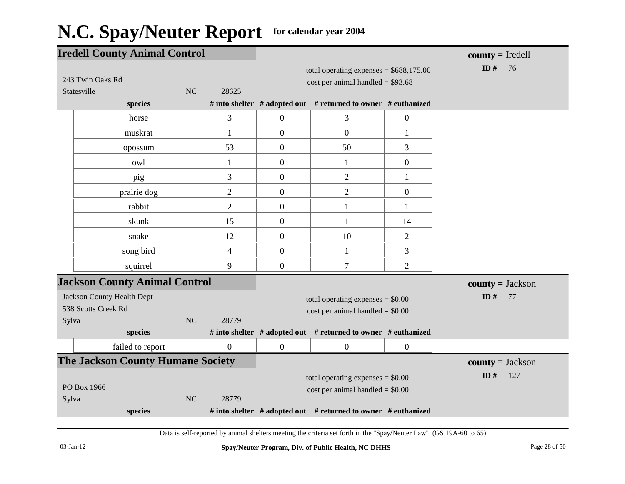| <b>Iredell County Animal Control</b>     |                |                          |                  |                                                               |                  | $county = Iredell$ |
|------------------------------------------|----------------|--------------------------|------------------|---------------------------------------------------------------|------------------|--------------------|
|                                          |                |                          |                  | total operating expenses = $$688,175.00$                      |                  | ID $#$<br>76       |
| 243 Twin Oaks Rd                         |                |                          |                  | $cost$ per animal handled = \$93.68                           |                  |                    |
| Statesville                              | <b>NC</b>      | 28625                    |                  |                                                               |                  |                    |
| species                                  |                |                          |                  | # into shelter # adopted out # returned to owner # euthanized |                  |                    |
| horse                                    |                | 3                        | $\overline{0}$   | 3                                                             | $\boldsymbol{0}$ |                    |
| muskrat                                  |                | 1                        | $\boldsymbol{0}$ | $\boldsymbol{0}$                                              | 1                |                    |
| opossum                                  |                | 53                       | $\boldsymbol{0}$ | 50                                                            | 3                |                    |
| owl                                      |                | 1                        | $\boldsymbol{0}$ | 1                                                             | $\mathbf{0}$     |                    |
| pig                                      |                | 3                        | $\boldsymbol{0}$ | $\mathbf{2}$                                                  | $\mathbf{1}$     |                    |
| prairie dog                              |                | $\overline{2}$           | $\overline{0}$   | $\mathbf{2}$                                                  | $\boldsymbol{0}$ |                    |
| rabbit                                   |                | $\overline{2}$           | $\boldsymbol{0}$ | $\mathbf{1}$                                                  | 1                |                    |
| skunk                                    |                | 15                       | $\boldsymbol{0}$ | 1                                                             | 14               |                    |
| snake                                    |                | 12                       | $\boldsymbol{0}$ | 10                                                            | $\overline{2}$   |                    |
| song bird                                |                | $\overline{\mathcal{A}}$ | $\boldsymbol{0}$ | $\mathbf{1}$                                                  | 3                |                    |
| squirrel                                 |                | 9                        | $\boldsymbol{0}$ | 7                                                             | $\overline{2}$   |                    |
| <b>Jackson County Animal Control</b>     |                |                          |                  |                                                               |                  | $county = Jackson$ |
| <b>Jackson County Health Dept</b>        |                |                          |                  | total operating expenses $= $0.00$                            |                  | ID $#$<br>77       |
| 538 Scotts Creek Rd                      |                |                          |                  | $cost$ per animal handled = $$0.00$                           |                  |                    |
| Sylva                                    | <b>NC</b>      | 28779                    |                  |                                                               |                  |                    |
| species                                  |                |                          |                  | # into shelter # adopted out # returned to owner # euthanized |                  |                    |
| failed to report                         |                | $\boldsymbol{0}$         | $\boldsymbol{0}$ | $\boldsymbol{0}$                                              | $\boldsymbol{0}$ |                    |
| <b>The Jackson County Humane Society</b> |                |                          |                  |                                                               |                  | $county = Jackson$ |
|                                          |                |                          |                  | total operating expenses $= $0.00$                            |                  | ID $#$<br>127      |
| PO Box 1966                              |                |                          |                  | $cost$ per animal handled = $$0.00$                           |                  |                    |
| Sylva                                    | N <sub>C</sub> | 28779                    |                  |                                                               |                  |                    |
| species                                  |                |                          |                  | # into shelter # adopted out # returned to owner # euthanized |                  |                    |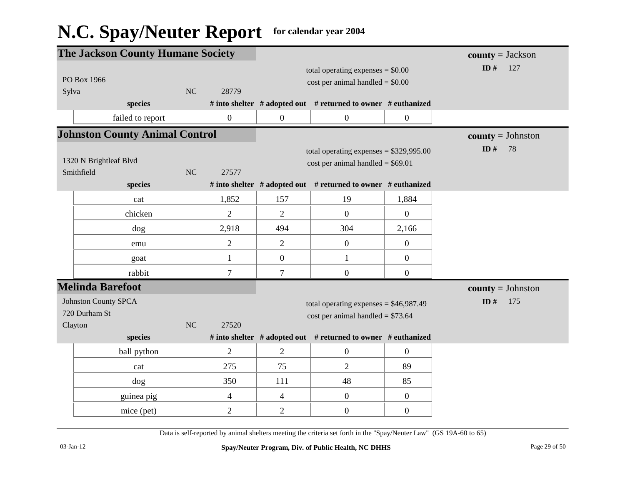|                                       | <b>The Jackson County Humane Society</b> |                |                                    |                                                               |                  | $county = Jackson$  |
|---------------------------------------|------------------------------------------|----------------|------------------------------------|---------------------------------------------------------------|------------------|---------------------|
|                                       |                                          |                |                                    | total operating expenses $= $0.00$                            |                  | ID#<br>127          |
|                                       | PO Box 1966                              |                |                                    | $cost$ per animal handled = \$0.00                            |                  |                     |
| Sylva                                 | NC                                       | 28779          |                                    |                                                               |                  |                     |
|                                       | species                                  |                |                                    | # into shelter # adopted out # returned to owner # euthanized |                  |                     |
|                                       | failed to report                         | $\mathbf{0}$   | $\boldsymbol{0}$                   | $\boldsymbol{0}$                                              | $\boldsymbol{0}$ |                     |
| <b>Johnston County Animal Control</b> |                                          |                |                                    |                                                               |                  | $county = Johnston$ |
|                                       |                                          |                |                                    | total operating expenses = $$329,995.00$                      |                  | ID $#$<br>78        |
| 1320 N Brightleaf Blvd                |                                          |                | cost per animal handled = $$69.01$ |                                                               |                  |                     |
|                                       | Smithfield<br><b>NC</b>                  | 27577          |                                    |                                                               |                  |                     |
|                                       | species                                  |                |                                    | # into shelter # adopted out # returned to owner # euthanized |                  |                     |
|                                       | cat                                      | 1,852          | 157                                | 19                                                            | 1,884            |                     |
|                                       | chicken                                  | $\overline{2}$ | $\overline{2}$                     | $\theta$                                                      | $\boldsymbol{0}$ |                     |
|                                       | dog                                      | 2,918          | 494                                | 304                                                           | 2,166            |                     |
|                                       | emu                                      | $\overline{2}$ | $\overline{2}$                     | $\boldsymbol{0}$                                              | $\boldsymbol{0}$ |                     |
|                                       | goat                                     | $\mathbf{1}$   | $\boldsymbol{0}$                   | $\mathbf{1}$                                                  | $\boldsymbol{0}$ |                     |
|                                       | rabbit                                   | $\overline{7}$ | $\overline{7}$                     | $\boldsymbol{0}$                                              | $\boldsymbol{0}$ |                     |
|                                       | <b>Melinda Barefoot</b>                  |                |                                    |                                                               |                  | $county = Johnston$ |
|                                       | <b>Johnston County SPCA</b>              |                |                                    | total operating expenses = $$46,987.49$                       |                  | ID#<br>175          |
|                                       | 720 Durham St                            |                |                                    | cost per animal handled = $$73.64$                            |                  |                     |
|                                       | NC<br>Clayton                            | 27520          |                                    |                                                               |                  |                     |
|                                       | species                                  |                |                                    | # into shelter # adopted out # returned to owner # euthanized |                  |                     |
|                                       | ball python                              | $\overline{2}$ | $\overline{2}$                     | $\boldsymbol{0}$                                              | $\overline{0}$   |                     |
|                                       | cat                                      | 275            | 75                                 | $\overline{2}$                                                | 89               |                     |
|                                       | dog                                      | 350            | 111                                | 48                                                            | 85               |                     |
|                                       | guinea pig                               | $\overline{4}$ | $\overline{4}$                     | $\mathbf{0}$                                                  | $\boldsymbol{0}$ |                     |
|                                       | mice (pet)                               | $\mathbf{2}$   | $\overline{c}$                     | $\boldsymbol{0}$                                              | $\boldsymbol{0}$ |                     |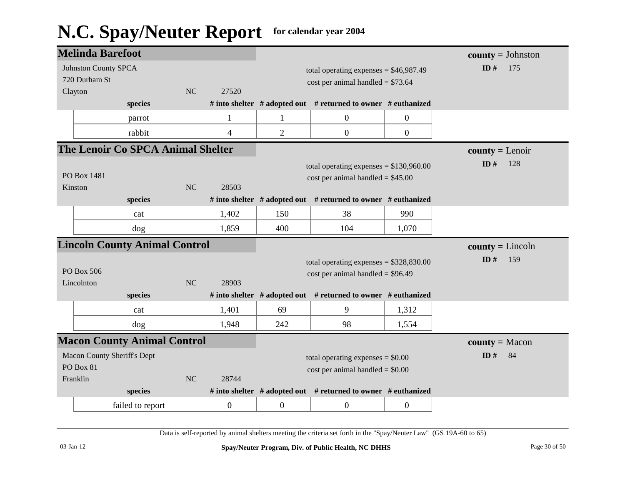|                                    | <b>Melinda Barefoot</b>              |                                    |                  |                                     |                                                                     |                  | $county = Johnston$ |
|------------------------------------|--------------------------------------|------------------------------------|------------------|-------------------------------------|---------------------------------------------------------------------|------------------|---------------------|
|                                    | <b>Johnston County SPCA</b>          |                                    |                  |                                     | total operating expenses = $$46,987.49$                             | ID#<br>175       |                     |
|                                    | 720 Durham St                        |                                    |                  |                                     | cost per animal handled = $$73.64$                                  |                  |                     |
| Clayton                            |                                      | NC                                 | 27520            |                                     |                                                                     |                  |                     |
|                                    | species                              |                                    |                  |                                     | # into shelter # adopted out # returned to owner # euthanized       |                  |                     |
|                                    | parrot                               |                                    | $\mathbf{1}$     | 1                                   | $\boldsymbol{0}$                                                    | $\boldsymbol{0}$ |                     |
|                                    | rabbit                               |                                    | $\overline{4}$   | $\overline{2}$                      | $\boldsymbol{0}$                                                    | $\boldsymbol{0}$ |                     |
|                                    | The Lenoir Co SPCA Animal Shelter    |                                    |                  |                                     |                                                                     |                  | $county = Lenoir$   |
|                                    |                                      |                                    |                  |                                     | total operating expenses = $$130,960.00$                            |                  | ID#<br>128          |
| PO Box 1481                        |                                      |                                    |                  | $cost$ per animal handled = \$45.00 |                                                                     |                  |                     |
| Kinston                            |                                      | NC                                 | 28503            |                                     |                                                                     |                  |                     |
|                                    | species                              |                                    |                  |                                     | # into shelter $#$ adopted out $#$ returned to owner $#$ euthanized |                  |                     |
|                                    | cat                                  |                                    | 1,402            | 150                                 | 38                                                                  | 990              |                     |
|                                    | dog                                  |                                    | 1,859            | 400                                 | 104                                                                 | 1,070            |                     |
|                                    | <b>Lincoln County Animal Control</b> |                                    |                  |                                     |                                                                     |                  | $county = Lincoln$  |
|                                    |                                      |                                    |                  |                                     | total operating expenses = $$328,830.00$                            |                  | ID $#$<br>159       |
|                                    | PO Box 506                           |                                    |                  |                                     | $cost per animal handled = $96.49$                                  |                  |                     |
| Lincolnton                         |                                      | NC                                 | 28903            |                                     |                                                                     |                  |                     |
|                                    | species                              |                                    |                  |                                     | # into shelter # adopted out # returned to owner # euthanized       |                  |                     |
|                                    | cat                                  |                                    | 1,401            | 69                                  | 9                                                                   | 1,312            |                     |
|                                    | dog                                  |                                    | 1,948            | 242                                 | 98                                                                  | 1,554            |                     |
|                                    | <b>Macon County Animal Control</b>   |                                    |                  |                                     |                                                                     |                  | $county = Macon$    |
| <b>Macon County Sheriff's Dept</b> |                                      |                                    |                  | total operating expenses $= $0.00$  |                                                                     | ID#<br>84        |                     |
| PO Box 81                          |                                      | $cost$ per animal handled = \$0.00 |                  |                                     |                                                                     |                  |                     |
| Franklin                           |                                      | NC                                 | 28744            |                                     |                                                                     |                  |                     |
|                                    | species                              |                                    |                  |                                     | # into shelter # adopted out # returned to owner # euthanized       |                  |                     |
|                                    | failed to report                     |                                    | $\boldsymbol{0}$ | $\boldsymbol{0}$                    | $\boldsymbol{0}$                                                    | $\boldsymbol{0}$ |                     |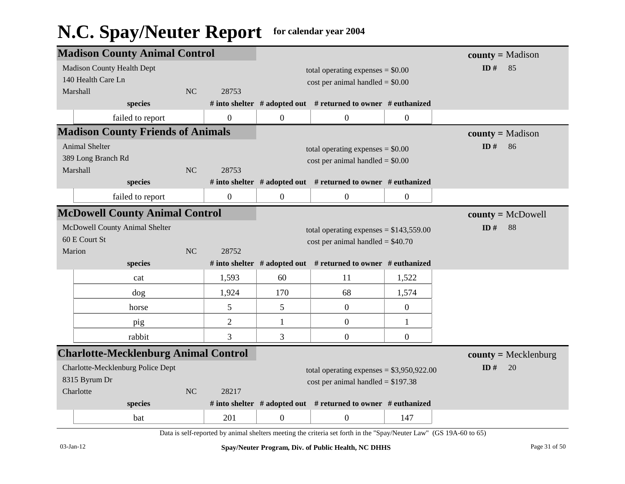|                                          | <b>Madison County Animal Control</b>        |                                     |                                          |                                            |                                                                     |                     | $county = Madison$     |
|------------------------------------------|---------------------------------------------|-------------------------------------|------------------------------------------|--------------------------------------------|---------------------------------------------------------------------|---------------------|------------------------|
|                                          | <b>Madison County Health Dept</b>           |                                     |                                          | total operating expenses $= $0.00$         |                                                                     |                     | ID#<br>85              |
|                                          | 140 Health Care Ln                          |                                     |                                          | $cost$ per animal handled = \$0.00         |                                                                     |                     |                        |
|                                          | Marshall                                    | NC                                  | 28753                                    |                                            |                                                                     |                     |                        |
|                                          | species                                     |                                     |                                          |                                            | # into shelter $#$ adopted out $#$ returned to owner $#$ euthanized |                     |                        |
|                                          | failed to report                            |                                     | $\mathbf{0}$                             | $\overline{0}$                             | $\boldsymbol{0}$                                                    | $\boldsymbol{0}$    |                        |
| <b>Madison County Friends of Animals</b> |                                             |                                     |                                          |                                            |                                                                     | $county = Madison$  |                        |
| Animal Shelter                           |                                             |                                     | total operating expenses $= $0.00$       |                                            | ID $#$<br>86                                                        |                     |                        |
| 389 Long Branch Rd                       |                                             |                                     | $cost$ per animal handled = \$0.00       |                                            |                                                                     |                     |                        |
|                                          | Marshall                                    | NC                                  | 28753                                    |                                            |                                                                     |                     |                        |
|                                          | species                                     |                                     |                                          |                                            | # into shelter # adopted out # returned to owner # euthanized       |                     |                        |
|                                          | failed to report                            |                                     | $\mathbf{0}$                             | $\overline{0}$                             | $\mathbf{0}$                                                        | $\overline{0}$      |                        |
| <b>McDowell County Animal Control</b>    |                                             |                                     |                                          |                                            |                                                                     | $county = McDowell$ |                        |
| McDowell County Animal Shelter           |                                             |                                     | total operating expenses = $$143,559.00$ |                                            | ID#<br>88                                                           |                     |                        |
| 60 E Court St                            |                                             |                                     | $cost$ per animal handled = \$40.70      |                                            |                                                                     |                     |                        |
|                                          | Marion                                      | NC                                  | 28752                                    |                                            |                                                                     |                     |                        |
|                                          | species                                     |                                     |                                          |                                            | # into shelter # adopted out # returned to owner # euthanized       |                     |                        |
|                                          | cat                                         |                                     | 1,593                                    | 60                                         | 11                                                                  | 1,522               |                        |
|                                          | dog                                         |                                     | 1,924                                    | 170                                        | 68                                                                  | 1,574               |                        |
|                                          | horse                                       |                                     | 5                                        | 5                                          | $\overline{0}$                                                      | $\overline{0}$      |                        |
|                                          | pig                                         |                                     | $\overline{2}$                           | 1                                          | $\boldsymbol{0}$                                                    | 1                   |                        |
|                                          | rabbit                                      |                                     | 3                                        | 3                                          | $\boldsymbol{0}$                                                    | $\boldsymbol{0}$    |                        |
|                                          | <b>Charlotte-Mecklenburg Animal Control</b> |                                     |                                          |                                            |                                                                     |                     | $county = Mecklenburg$ |
| Charlotte-Mecklenburg Police Dept        |                                             |                                     |                                          | total operating expenses = $$3,950,922.00$ |                                                                     | ID#<br>20           |                        |
| 8315 Byrum Dr                            |                                             | cost per animal handled = $$197.38$ |                                          |                                            |                                                                     |                     |                        |
|                                          | Charlotte                                   | NC                                  | 28217                                    |                                            |                                                                     |                     |                        |
|                                          | species                                     |                                     |                                          |                                            | # into shelter # adopted out # returned to owner # euthanized       |                     |                        |
|                                          | bat                                         |                                     | 201                                      | $\mathbf{0}$                               | $\overline{0}$                                                      | 147                 |                        |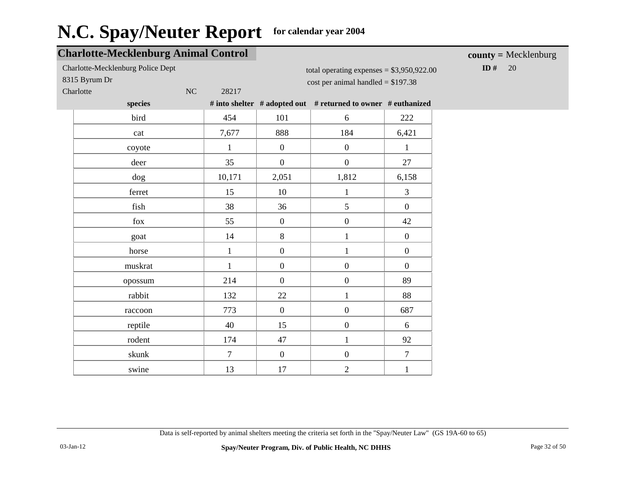#### **Charlotte-Mecklenburg Animal Control** Charlotte-Mecklenburg Police Dept 8315 Byrum Dr Charlotte NC 28217 **species # into shelter # adopted out # returned to owner # euthanized** total operating expenses = \$3,950,922.00  $cost$  per animal handled = \$197.38 **ID** # 20 **county =** Mecklenburg bird 101 6 222 cat 7,677 888 184 6,421 coyote  $1 \t 1 \t 0 \t 0 \t 1$ deer 35 0 0 27 dog 10,171 2,051 1,812 6,158 ferret 15 10 1 3 fish 198 36 5 0 fox  $\begin{array}{|c|c|c|c|c|c|} \hline 55 & 0 & 0 & 42 \ \hline \end{array}$ goat  $14$   $8$   $1$   $0$ horse  $1 \t 1 \t 0 \t 1 \t 0$ muskrat 1 0 0 0 0 opossum 214 0 0 89 rabbit 132 22 1 88 raccoon 773 0 0 0 687 reptile 15 0 6 rodent 174 | 47 | 1 92 skunk 7 0 0 7

swine 13 17 2 1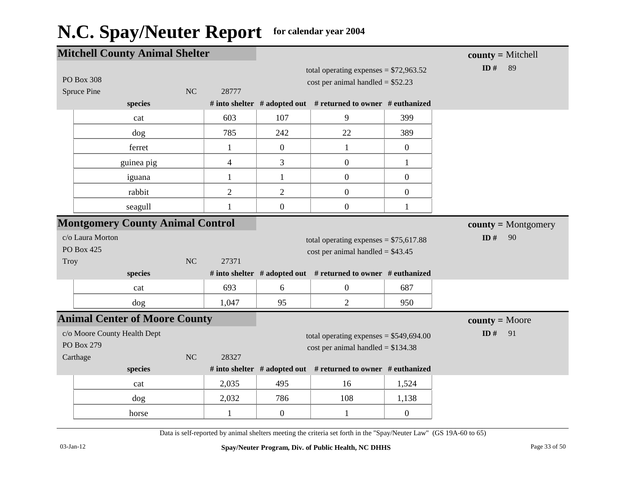| <b>Mitchell County Animal Shelter</b>   |                |                          |                |                                                               |                  | $county = Mitchell$   |
|-----------------------------------------|----------------|--------------------------|----------------|---------------------------------------------------------------|------------------|-----------------------|
|                                         |                |                          |                | total operating expenses = $$72,963.52$                       |                  | ID#<br>89             |
| <b>PO Box 308</b>                       |                |                          |                | cost per animal handled = $$52.23$                            |                  |                       |
| Spruce Pine                             | N <sub>C</sub> | 28777                    |                |                                                               |                  |                       |
| species                                 |                |                          |                | # into shelter # adopted out # returned to owner # euthanized |                  |                       |
| cat                                     |                | 603                      | 107            | 9                                                             | 399              |                       |
| dog                                     |                | 785                      | 242            | 22                                                            | 389              |                       |
| ferret                                  |                | $\mathbf 1$              | $\overline{0}$ | $\mathbf{1}$                                                  | $\overline{0}$   |                       |
| guinea pig                              |                | $\overline{\mathcal{L}}$ | 3              | $\boldsymbol{0}$                                              | $\mathbf{1}$     |                       |
| iguana                                  |                | 1                        | $\mathbf{1}$   | $\boldsymbol{0}$                                              | $\overline{0}$   |                       |
| rabbit                                  |                | $\overline{2}$           | $\overline{2}$ | $\boldsymbol{0}$                                              | $\boldsymbol{0}$ |                       |
| seagull                                 |                | 1                        | $\overline{0}$ | $\boldsymbol{0}$                                              | $\mathbf{1}$     |                       |
| <b>Montgomery County Animal Control</b> |                |                          |                |                                                               |                  | $county = Montgomery$ |
| c/o Laura Morton                        |                |                          |                | total operating expenses = $$75,617.88$                       |                  | ID $#$<br>90          |
| PO Box 425                              |                |                          |                | cost per animal handled = $$43.45$                            |                  |                       |
| Troy                                    | NC             | 27371                    |                |                                                               |                  |                       |
| species                                 |                |                          |                | # into shelter # adopted out # returned to owner # euthanized |                  |                       |
| cat                                     |                | 693                      | 6              | $\boldsymbol{0}$                                              | 687              |                       |
| dog                                     |                | 1,047                    | 95             | $\overline{2}$                                                | 950              |                       |
| <b>Animal Center of Moore County</b>    |                |                          |                |                                                               |                  | $county = Moore$      |
| c/o Moore County Health Dept            |                |                          |                | total operating expenses = $$549,694.00$                      |                  | ID $#$<br>91          |
| PO Box 279                              |                |                          |                | cost per animal handled = $$134.38$                           |                  |                       |
| Carthage                                | NC             | 28327                    |                |                                                               |                  |                       |
| species                                 |                |                          |                | # into shelter # adopted out # returned to owner # euthanized |                  |                       |
| cat                                     |                | 2,035                    | 495            | 16                                                            | 1,524            |                       |
| dog                                     |                | 2,032                    | 786            | 108                                                           | 1,138            |                       |
| horse                                   |                | 1                        | $\overline{0}$ | $\mathbf{1}$                                                  | $\mathbf{0}$     |                       |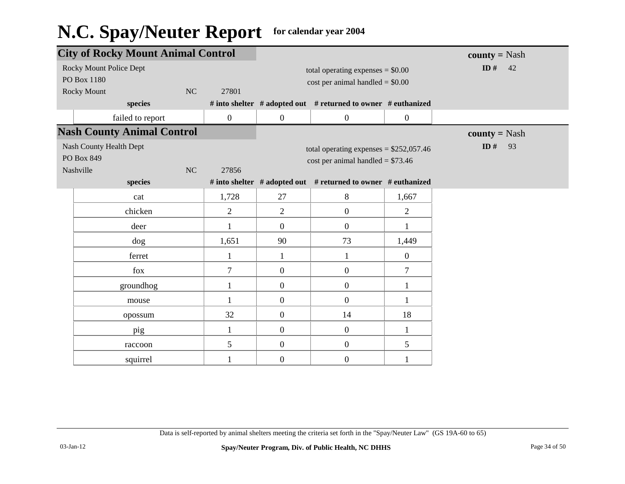| <b>City of Rocky Mount Animal Control</b> |                  |                                    |                                                               | <b>county</b> = Nash |                 |
|-------------------------------------------|------------------|------------------------------------|---------------------------------------------------------------|----------------------|-----------------|
| Rocky Mount Police Dept                   |                  | total operating expenses $= $0.00$ |                                                               |                      | ID # $42$       |
| PO Box 1180                               |                  |                                    | $cost$ per animal handled = \$0.00                            |                      |                 |
| <b>Rocky Mount</b><br>NC                  | 27801            |                                    |                                                               |                      |                 |
| species                                   |                  |                                    | # into shelter # adopted out # returned to owner # euthanized |                      |                 |
| failed to report                          | $\boldsymbol{0}$ | $\boldsymbol{0}$                   | $\boldsymbol{0}$                                              | $\boldsymbol{0}$     |                 |
| <b>Nash County Animal Control</b>         |                  |                                    |                                                               |                      | $county = Nash$ |
| Nash County Health Dept                   |                  |                                    | total operating expenses = $$252,057.46$                      |                      | ID $#$<br>93    |
| PO Box 849                                |                  |                                    | $cost per animal handled = $73.46$                            |                      |                 |
| Nashville<br>NC                           | 27856            |                                    |                                                               |                      |                 |
| species                                   |                  |                                    | # into shelter # adopted out # returned to owner # euthanized |                      |                 |
| cat                                       | 1,728            | 27                                 | 8                                                             | 1,667                |                 |
| chicken                                   | $\overline{2}$   | $\overline{2}$                     | $\mathbf{0}$                                                  | $\overline{2}$       |                 |
| deer                                      | $\mathbf{1}$     | $\overline{0}$                     | $\mathbf{0}$                                                  |                      |                 |
| dog                                       | 1,651            | 90                                 | 73                                                            | 1,449                |                 |
| ferret                                    | 1                | $\mathbf{1}$                       | $\mathbf{1}$                                                  | $\mathbf{0}$         |                 |
| fox                                       | $\overline{7}$   | $\boldsymbol{0}$                   | $\boldsymbol{0}$                                              | 7                    |                 |
| groundhog                                 | 1                | $\overline{0}$                     | $\mathbf{0}$                                                  |                      |                 |
| mouse                                     | $\mathbf{1}$     | $\overline{0}$                     | $\mathbf{0}$                                                  | 1                    |                 |
| opossum                                   | 32               | $\overline{0}$                     | 14                                                            | 18                   |                 |
| pig                                       | $\mathbf{1}$     | $\overline{0}$                     | $\mathbf{0}$                                                  | 1                    |                 |
| raccoon                                   | 5                | $\overline{0}$                     | $\mathbf{0}$                                                  | 5                    |                 |
| squirrel                                  | 1                | $\overline{0}$                     | $\boldsymbol{0}$                                              | 1                    |                 |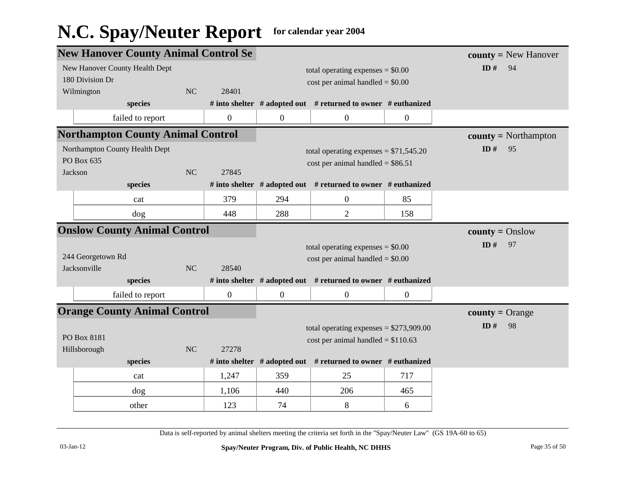|                                     | <b>New Hanover County Animal Control Se</b> |           |                  |                                         | $county = New Hanover$                                              |                   |                               |
|-------------------------------------|---------------------------------------------|-----------|------------------|-----------------------------------------|---------------------------------------------------------------------|-------------------|-------------------------------|
|                                     | New Hanover County Health Dept              |           |                  | total operating expenses $= $0.00$      |                                                                     |                   | ID#<br>94                     |
|                                     | 180 Division Dr                             |           |                  | $cost$ per animal handled = \$0.00      |                                                                     |                   |                               |
|                                     | Wilmington                                  | <b>NC</b> | 28401            |                                         |                                                                     |                   |                               |
|                                     | species                                     |           |                  |                                         | # into shelter # adopted out # returned to owner # euthanized       |                   |                               |
|                                     | failed to report                            |           | $\boldsymbol{0}$ | $\mathbf{0}$                            | $\boldsymbol{0}$                                                    | $\overline{0}$    |                               |
|                                     | <b>Northampton County Animal Control</b>    |           |                  |                                         |                                                                     |                   | $county = \text{Northampton}$ |
| Northampton County Health Dept      |                                             |           |                  | total operating expenses = $$71,545.20$ |                                                                     | ID $#$<br>95      |                               |
| PO Box 635                          |                                             |           |                  | cost per animal handled = $$86.51$      |                                                                     |                   |                               |
| Jackson                             |                                             | NC        | 27845            |                                         |                                                                     |                   |                               |
|                                     | species                                     |           |                  |                                         | # into shelter # adopted out # returned to owner # euthanized       |                   |                               |
|                                     | cat                                         |           | 379              | 294                                     | $\boldsymbol{0}$                                                    | 85                |                               |
|                                     | dog                                         |           | 448              | 288                                     | $\mathbf{2}$                                                        | 158               |                               |
| <b>Onslow County Animal Control</b> |                                             |           |                  |                                         |                                                                     | $county = Onslow$ |                               |
|                                     |                                             |           |                  |                                         | total operating expenses $= $0.00$                                  |                   | ID#<br>97                     |
|                                     | 244 Georgetown Rd                           |           |                  | $cost$ per animal handled = \$0.00      |                                                                     |                   |                               |
|                                     | Jacksonville                                | NC        | 28540            |                                         |                                                                     |                   |                               |
|                                     | species                                     |           |                  |                                         | # into shelter # adopted out # returned to owner # euthanized       |                   |                               |
|                                     | failed to report                            |           | $\boldsymbol{0}$ | $\boldsymbol{0}$                        | $\mathbf{0}$                                                        | $\mathbf{0}$      |                               |
|                                     | <b>Orange County Animal Control</b>         |           |                  |                                         |                                                                     |                   | $county = Orange$             |
|                                     |                                             |           |                  |                                         | total operating expenses = $$273,909.00$                            |                   | ID#<br>98                     |
|                                     | PO Box 8181                                 |           |                  |                                         | cost per animal handled = $$110.63$                                 |                   |                               |
|                                     | Hillsborough                                | NC        | 27278            |                                         |                                                                     |                   |                               |
|                                     | species                                     |           |                  |                                         | # into shelter $#$ adopted out $#$ returned to owner $#$ euthanized |                   |                               |
|                                     | cat                                         |           | 1,247            | 359                                     | 25                                                                  | 717               |                               |
|                                     | dog                                         |           | 1,106            | 440                                     | 206                                                                 | 465               |                               |
|                                     | other                                       |           | 123              | 74                                      | 8                                                                   | 6                 |                               |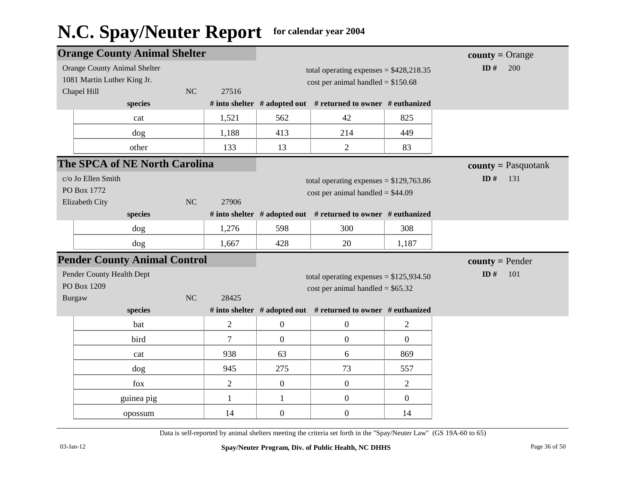| $county = Orange$     |
|-----------------------|
| ID $#$<br>200         |
|                       |
|                       |
|                       |
|                       |
|                       |
|                       |
| $county = Pasquotank$ |
| ID $#$<br>131         |
|                       |
|                       |
|                       |
|                       |
|                       |
| $county = Pender$     |
| ID#<br>101            |
|                       |
|                       |
|                       |
|                       |
|                       |
|                       |
|                       |
|                       |
|                       |
|                       |
|                       |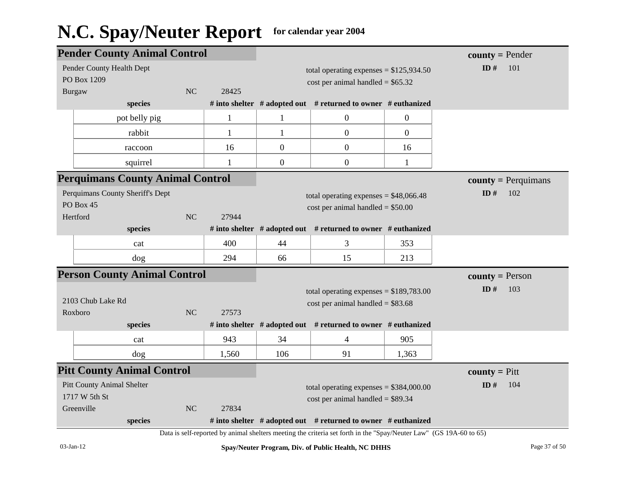|                                  | <b>Pender County Animal Control</b>     |                                                                                |                                     |                                          |                                                                                                                    | $county = Pender$ |                         |
|----------------------------------|-----------------------------------------|--------------------------------------------------------------------------------|-------------------------------------|------------------------------------------|--------------------------------------------------------------------------------------------------------------------|-------------------|-------------------------|
|                                  | Pender County Health Dept               |                                                                                |                                     | total operating expenses = $$125,934.50$ |                                                                                                                    |                   | ID $#$<br>101           |
|                                  | PO Box 1209                             |                                                                                |                                     | $cost$ per animal handled = \$65.32      |                                                                                                                    |                   |                         |
| <b>Burgaw</b>                    |                                         | <b>NC</b>                                                                      | 28425                               |                                          |                                                                                                                    |                   |                         |
|                                  | species                                 |                                                                                |                                     |                                          | # into shelter $#$ adopted out $#$ returned to owner $#$ euthanized                                                |                   |                         |
|                                  | pot belly pig                           |                                                                                | $\mathbf{1}$                        | $\mathbf{1}$                             | $\boldsymbol{0}$                                                                                                   | $\overline{0}$    |                         |
|                                  | rabbit                                  |                                                                                | $\mathbf{1}$                        | $\mathbf{1}$                             | $\overline{0}$                                                                                                     | $\overline{0}$    |                         |
|                                  | raccoon                                 |                                                                                | 16                                  | $\mathbf{0}$                             | $\overline{0}$                                                                                                     | 16                |                         |
|                                  | squirrel                                |                                                                                | 1                                   | $\boldsymbol{0}$                         | $\boldsymbol{0}$                                                                                                   | $\mathbf{1}$      |                         |
|                                  | <b>Perquimans County Animal Control</b> |                                                                                |                                     |                                          |                                                                                                                    |                   | $county = Perquimans$   |
| Perquimans County Sheriff's Dept |                                         |                                                                                |                                     | total operating expenses = $$48,066.48$  |                                                                                                                    | ID#<br>102        |                         |
| PO Box 45                        |                                         |                                                                                | $cost$ per animal handled = \$50.00 |                                          |                                                                                                                    |                   |                         |
|                                  | Hertford                                | <b>NC</b>                                                                      | 27944                               |                                          |                                                                                                                    |                   |                         |
|                                  | species                                 |                                                                                |                                     |                                          | # into shelter $#$ adopted out $#$ returned to owner $#$ euthanized                                                |                   |                         |
|                                  | cat                                     |                                                                                | 400                                 | 44                                       | 3                                                                                                                  | 353               |                         |
|                                  | dog                                     |                                                                                | 294                                 | 66                                       | 15                                                                                                                 | 213               |                         |
|                                  | <b>Person County Animal Control</b>     |                                                                                |                                     |                                          |                                                                                                                    |                   | <b>county</b> = Person  |
|                                  |                                         |                                                                                |                                     | total operating expenses = $$189,783.00$ |                                                                                                                    |                   | ID#<br>103              |
|                                  | 2103 Chub Lake Rd                       |                                                                                |                                     | $cost$ per animal handled = \$83.68      |                                                                                                                    |                   |                         |
|                                  | Roxboro                                 | N <sub>C</sub>                                                                 | 27573                               |                                          |                                                                                                                    |                   |                         |
|                                  | species                                 |                                                                                |                                     |                                          | # into shelter # adopted out # returned to owner # euthanized                                                      |                   |                         |
|                                  | cat                                     |                                                                                | 943                                 | 34                                       | $\overline{4}$                                                                                                     | 905               |                         |
|                                  | dog                                     |                                                                                | 1,560                               | 106                                      | 91                                                                                                                 | 1,363             |                         |
|                                  | <b>Pitt County Animal Control</b>       |                                                                                |                                     |                                          |                                                                                                                    |                   | <b>county</b> = $P$ itt |
|                                  | <b>Pitt County Animal Shelter</b>       |                                                                                |                                     |                                          |                                                                                                                    |                   | ID $#$<br>104           |
| 1717 W 5th St                    |                                         | total operating expenses = $$384,000.00$<br>$cost per animal handled = $89.34$ |                                     |                                          |                                                                                                                    |                   |                         |
|                                  | Greenville                              | <b>NC</b>                                                                      | 27834                               |                                          |                                                                                                                    |                   |                         |
|                                  | species                                 |                                                                                |                                     |                                          | # into shelter $#$ adopted out $#$ returned to owner $#$ euthanized                                                |                   |                         |
|                                  |                                         |                                                                                |                                     |                                          | Data is self-reported by animal shelters meeting the criteria set forth in the "Spay/Neuter Law" (GS 19A-60 to 65) |                   |                         |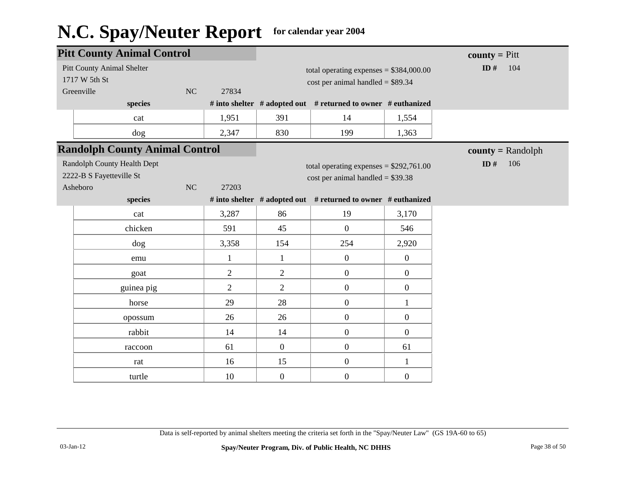| <b>Pitt County Animal Control</b> |                                                                     |    |                |                |                                                                                 |                  | <b>county</b> = $P$ itt |
|-----------------------------------|---------------------------------------------------------------------|----|----------------|----------------|---------------------------------------------------------------------------------|------------------|-------------------------|
|                                   | <b>Pitt County Animal Shelter</b><br>1717 W 5th St<br>Greenville    | NC | 27834          |                | total operating expenses = $$384,000.00$<br>$cost$ per animal handled = \$89.34 |                  | ID $#$<br>104           |
|                                   | species                                                             |    |                |                | # into shelter # adopted out # returned to owner # euthanized                   |                  |                         |
|                                   | cat                                                                 |    | 1,951          | 391            | 14                                                                              | 1,554            |                         |
|                                   | dog                                                                 |    | 2,347          | 830            | 199                                                                             | 1,363            |                         |
|                                   | <b>Randolph County Animal Control</b>                               |    |                |                |                                                                                 |                  | $county = Random$       |
|                                   | Randolph County Health Dept<br>2222-B S Fayetteville St<br>Asheboro | NC | 27203          |                | total operating expenses = $$292,761.00$<br>$cost$ per animal handled = \$39.38 |                  | ID $#$<br>106           |
|                                   | species                                                             |    |                |                | # into shelter # adopted out # returned to owner # euthanized                   |                  |                         |
|                                   | cat                                                                 |    | 3,287          | 86             | 19                                                                              | 3,170            |                         |
|                                   | chicken                                                             |    | 591            | 45             | $\overline{0}$                                                                  | 546              |                         |
|                                   | dog                                                                 |    | 3,358          | 154            | 254                                                                             | 2,920            |                         |
|                                   | emu                                                                 |    | $\mathbf{1}$   | $\mathbf{1}$   | $\boldsymbol{0}$                                                                | $\mathbf{0}$     |                         |
|                                   | goat                                                                |    | $\mathbf{2}$   | $\overline{2}$ | $\boldsymbol{0}$                                                                | $\boldsymbol{0}$ |                         |
|                                   | guinea pig                                                          |    | $\overline{2}$ | $\overline{2}$ | $\overline{0}$                                                                  | $\mathbf{0}$     |                         |
|                                   | horse                                                               |    | 29             | 28             | $\boldsymbol{0}$                                                                | $\mathbf{1}$     |                         |
|                                   | opossum                                                             |    | 26             | 26             | $\boldsymbol{0}$                                                                | $\boldsymbol{0}$ |                         |
|                                   | rabbit                                                              |    | 14             | 14             | $\boldsymbol{0}$                                                                | $\mathbf{0}$     |                         |
|                                   | raccoon                                                             |    | 61             | $\overline{0}$ | $\overline{0}$                                                                  | 61               |                         |
|                                   | rat                                                                 |    | 16             | 15             | $\boldsymbol{0}$                                                                | $\mathbf{1}$     |                         |
|                                   | turtle                                                              |    | 10             | $\overline{0}$ | $\boldsymbol{0}$                                                                | $\boldsymbol{0}$ |                         |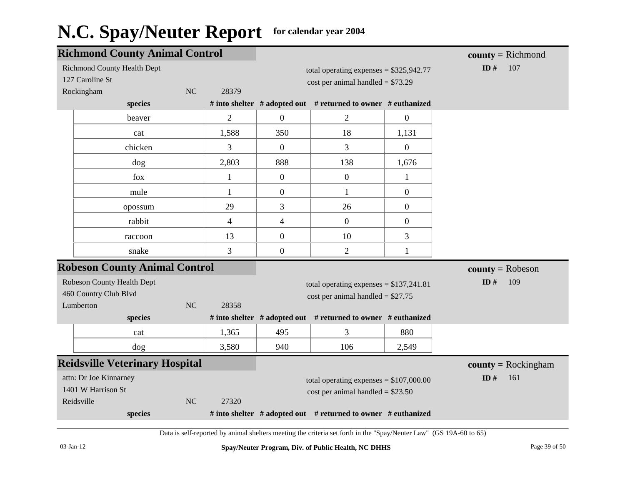| <b>Richmond County Animal Control</b> |                |                                     |                                                               |                  | $county = Richard$    |
|---------------------------------------|----------------|-------------------------------------|---------------------------------------------------------------|------------------|-----------------------|
| <b>Richmond County Health Dept</b>    |                |                                     | total operating expenses = $$325,942.77$                      |                  | ID#<br>107            |
| 127 Caroline St                       |                |                                     | $cost per animal handled = $73.29$                            |                  |                       |
| Rockingham<br>NC                      | 28379          |                                     |                                                               |                  |                       |
| species                               |                |                                     | # into shelter # adopted out # returned to owner # euthanized |                  |                       |
| beaver                                | $\mathbf{2}$   | $\boldsymbol{0}$                    | $\mathbf{2}$                                                  | $\overline{0}$   |                       |
| cat                                   | 1,588          | 350                                 | 18                                                            | 1,131            |                       |
| chicken                               | 3              | $\mathbf{0}$                        | 3                                                             | $\overline{0}$   |                       |
| dog                                   | 2,803          | 888                                 | 138                                                           | 1,676            |                       |
| fox                                   | $\mathbf{1}$   | $\boldsymbol{0}$                    | $\boldsymbol{0}$                                              | 1                |                       |
| mule                                  | $\mathbf{1}$   | $\overline{0}$                      | $\mathbf{1}$                                                  | $\boldsymbol{0}$ |                       |
| opossum                               | 29             | 3                                   | 26                                                            | $\boldsymbol{0}$ |                       |
| rabbit                                | $\overline{4}$ | 4                                   | $\mathbf{0}$                                                  | $\boldsymbol{0}$ |                       |
| raccoon                               | 13             | $\overline{0}$                      | 10                                                            | 3                |                       |
| snake                                 | 3              | $\boldsymbol{0}$                    | $\overline{2}$                                                | 1                |                       |
| <b>Robeson County Animal Control</b>  |                |                                     |                                                               |                  | $county = Robeson$    |
| Robeson County Health Dept            |                |                                     | total operating expenses = $$137,241.81$                      |                  | ID#<br>109            |
| 460 Country Club Blvd                 |                | cost per animal handled = $$27.75$  |                                                               |                  |                       |
| NC<br>Lumberton                       | 28358          |                                     |                                                               |                  |                       |
| species                               |                |                                     | # into shelter # adopted out # returned to owner # euthanized |                  |                       |
| cat                                   | 1,365          | 495                                 | 3                                                             | 880              |                       |
| dog                                   | 3,580          | 940                                 | 106                                                           | 2,549            |                       |
| <b>Reidsville Veterinary Hospital</b> |                |                                     |                                                               |                  | $county = Rockingham$ |
| attn: Dr Joe Kinnarney                |                |                                     | total operating expenses = $$107,000.00$                      |                  | ID $#$<br>161         |
| 1401 W Harrison St                    |                | $cost$ per animal handled = \$23.50 |                                                               |                  |                       |
| NC<br>Reidsville                      | 27320          |                                     |                                                               |                  |                       |
| species                               |                |                                     | # into shelter # adopted out # returned to owner # euthanized |                  |                       |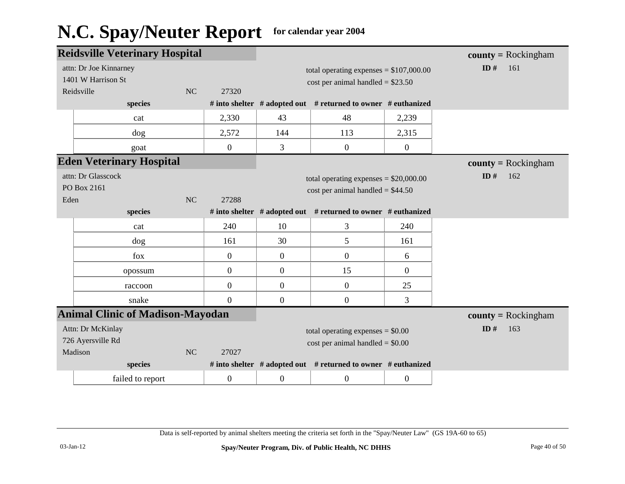|                                           | <b>Reidsville Veterinary Hospital</b>                      |           |                  |                                         |                                                                                 |                  | <b>county</b> = Rockingham |
|-------------------------------------------|------------------------------------------------------------|-----------|------------------|-----------------------------------------|---------------------------------------------------------------------------------|------------------|----------------------------|
|                                           | attn: Dr Joe Kinnarney<br>1401 W Harrison St<br>Reidsville | NC        | 27320            |                                         | total operating expenses = $$107,000.00$<br>$cost$ per animal handled = \$23.50 |                  | ID#<br>161                 |
|                                           | species                                                    |           |                  |                                         | # into shelter # adopted out # returned to owner # euthanized                   |                  |                            |
|                                           | cat                                                        |           | 2,330            | 43                                      | 48                                                                              | 2,239            |                            |
|                                           | dog                                                        |           | 2,572            | 144                                     | 113                                                                             | 2,315            |                            |
|                                           | goat                                                       |           | $\boldsymbol{0}$ | 3                                       | $\boldsymbol{0}$                                                                | $\boldsymbol{0}$ |                            |
|                                           | <b>Eden Veterinary Hospital</b>                            |           |                  |                                         |                                                                                 |                  | $county = Rockingham$      |
| attn: Dr Glasscock                        |                                                            |           |                  | total operating expenses $= $20,000.00$ |                                                                                 | ID#<br>162       |                            |
| PO Box 2161<br><b>NC</b><br>27288<br>Eden |                                                            |           |                  | $cost per animal handled = $44.50$      |                                                                                 |                  |                            |
|                                           | species                                                    |           |                  |                                         | # into shelter # adopted out # returned to owner # euthanized                   |                  |                            |
|                                           | cat                                                        |           | 240              | 10                                      | 3                                                                               | 240              |                            |
|                                           | dog                                                        |           | 161              | 30                                      | 5                                                                               | 161              |                            |
|                                           | fox                                                        |           | $\boldsymbol{0}$ | $\overline{0}$                          | $\boldsymbol{0}$                                                                | 6                |                            |
|                                           | opossum                                                    |           | $\overline{0}$   | $\overline{0}$                          | 15                                                                              | $\overline{0}$   |                            |
|                                           | raccoon                                                    |           | $\mathbf{0}$     | $\overline{0}$                          | $\boldsymbol{0}$                                                                | 25               |                            |
|                                           | snake                                                      |           | $\boldsymbol{0}$ | $\overline{0}$                          | $\boldsymbol{0}$                                                                | 3                |                            |
|                                           | <b>Animal Clinic of Madison-Mayodan</b>                    |           |                  |                                         |                                                                                 |                  | <b>county</b> = Rockingham |
|                                           | Attn: Dr McKinlay                                          |           |                  |                                         | total operating expenses $= $0.00$                                              |                  | ID $#$<br>163              |
|                                           | 726 Ayersville Rd                                          |           |                  |                                         | $cost$ per animal handled = \$0.00                                              |                  |                            |
|                                           | Madison<br>species                                         | <b>NC</b> | 27027            |                                         | # into shelter # adopted out # returned to owner # euthanized                   |                  |                            |
|                                           |                                                            |           |                  |                                         |                                                                                 |                  |                            |
|                                           | failed to report                                           |           | $\boldsymbol{0}$ | $\overline{0}$                          | $\boldsymbol{0}$                                                                | $\boldsymbol{0}$ |                            |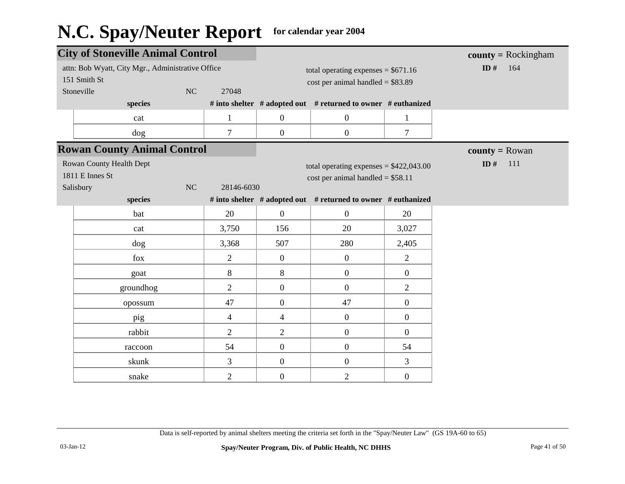| <b>City of Stoneville Animal Control</b>                                                       |                |                                                                            |                                                                                |                  | <b>county</b> = $Rockingham$ |
|------------------------------------------------------------------------------------------------|----------------|----------------------------------------------------------------------------|--------------------------------------------------------------------------------|------------------|------------------------------|
| attn: Bob Wyatt, City Mgr., Administrative Office<br>151 Smith St<br>Stoneville<br>NC<br>27048 |                | total operating expenses = $$671.16$<br>cost per animal handled = $$83.89$ |                                                                                |                  | ID#<br>164                   |
| species                                                                                        |                |                                                                            | # into shelter # adopted out # returned to owner # euthanized                  |                  |                              |
| cat                                                                                            | $\mathbf{1}$   | $\overline{0}$                                                             | $\boldsymbol{0}$                                                               | $\mathbf{1}$     |                              |
| dog                                                                                            | $\overline{7}$ | $\overline{0}$                                                             | $\overline{0}$                                                                 | $\overline{7}$   |                              |
| <b>Rowan County Animal Control</b>                                                             |                |                                                                            |                                                                                |                  | <b>county</b> = Rowan        |
| Rowan County Health Dept<br>1811 E Innes St<br>NC<br>Salisbury                                 | 28146-6030     |                                                                            | total operating expenses = $$422,043.00$<br>$cost per animal handled = $58.11$ |                  | ID#<br>111                   |
| species                                                                                        |                |                                                                            | # into shelter # adopted out # returned to owner # euthanized                  |                  |                              |
| bat                                                                                            | 20             | $\overline{0}$                                                             | $\overline{0}$                                                                 | 20               |                              |
| cat                                                                                            | 3,750          | 156                                                                        | 20                                                                             | 3,027            |                              |
| dog                                                                                            | 3,368          | 507                                                                        | 280                                                                            | 2,405            |                              |
| fox                                                                                            | $\overline{2}$ | $\overline{0}$                                                             | $\boldsymbol{0}$                                                               | $\overline{2}$   |                              |
| goat                                                                                           | 8              | 8                                                                          | $\boldsymbol{0}$                                                               | $\boldsymbol{0}$ |                              |
| groundhog                                                                                      | $\overline{2}$ | $\overline{0}$                                                             | $\overline{0}$                                                                 | $\overline{2}$   |                              |
| opossum                                                                                        | 47             | $\overline{0}$                                                             | 47                                                                             | $\boldsymbol{0}$ |                              |
| pig                                                                                            | $\overline{4}$ | 4                                                                          | $\boldsymbol{0}$                                                               | $\boldsymbol{0}$ |                              |
| rabbit                                                                                         | $\overline{2}$ | $\overline{2}$                                                             | $\boldsymbol{0}$                                                               | $\boldsymbol{0}$ |                              |
| raccoon                                                                                        | 54             | $\overline{0}$                                                             | $\boldsymbol{0}$                                                               | 54               |                              |
| skunk                                                                                          | 3              | $\overline{0}$                                                             | $\boldsymbol{0}$                                                               | 3                |                              |
| snake                                                                                          | $\overline{2}$ | $\boldsymbol{0}$                                                           | $\overline{2}$                                                                 | $\mathbf{0}$     |                              |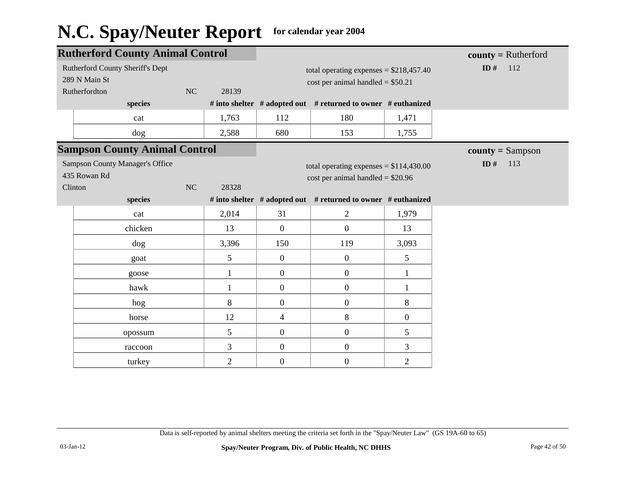|                                 | <b>Rutherford County Animal Control</b> |    |                |                                          |                                                               | $county = Rutherford$ |                    |
|---------------------------------|-----------------------------------------|----|----------------|------------------------------------------|---------------------------------------------------------------|-----------------------|--------------------|
|                                 | Rutherford County Sheriff's Dept        |    |                | total operating expenses = $$218,457.40$ |                                                               |                       | ID $#$<br>112      |
|                                 | 289 N Main St                           |    |                |                                          | $cost$ per animal handled = \$50.21                           |                       |                    |
|                                 | Rutherfordton                           | NC | 28139          |                                          |                                                               |                       |                    |
|                                 | species                                 |    |                |                                          | # into shelter # adopted out # returned to owner # euthanized |                       |                    |
|                                 | cat                                     |    | 1,763          | 112                                      | 180                                                           | 1,471                 |                    |
|                                 | dog                                     |    | 2,588          | 680                                      | 153                                                           | 1,755                 |                    |
|                                 | <b>Sampson County Animal Control</b>    |    |                |                                          |                                                               |                       | $county = Sampson$ |
| Sampson County Manager's Office |                                         |    |                | total operating expenses = $$114,430.00$ |                                                               | ID#<br>113            |                    |
| 435 Rowan Rd                    |                                         |    |                | $cost$ per animal handled = \$20.96      |                                                               |                       |                    |
| Clinton                         |                                         | NC | 28328          |                                          |                                                               |                       |                    |
|                                 | species                                 |    |                |                                          | # into shelter # adopted out # returned to owner # euthanized |                       |                    |
|                                 | cat                                     |    | 2,014          | 31                                       | $\overline{2}$                                                | 1,979                 |                    |
|                                 | chicken                                 |    | 13             | $\mathbf{0}$                             | $\mathbf{0}$                                                  | 13                    |                    |
|                                 | dog                                     |    | 3,396          | 150                                      | 119                                                           | 3,093                 |                    |
|                                 | goat                                    |    | 5              | $\overline{0}$                           | $\boldsymbol{0}$                                              | 5                     |                    |
|                                 | goose                                   |    | 1              | $\overline{0}$                           | $\mathbf{0}$                                                  | 1                     |                    |
|                                 | hawk                                    |    | 1              | $\mathbf{0}$                             | $\boldsymbol{0}$                                              | 1                     |                    |
|                                 | hog                                     |    | 8              | $\mathbf{0}$                             | $\boldsymbol{0}$                                              | 8                     |                    |
|                                 | horse                                   |    | 12             | $\overline{4}$                           | $8\,$                                                         | $\boldsymbol{0}$      |                    |
|                                 | opossum                                 |    | 5              | $\mathbf{0}$                             | $\boldsymbol{0}$                                              | 5                     |                    |
|                                 | raccoon                                 |    | 3              | $\overline{0}$                           | $\mathbf{0}$                                                  | 3                     |                    |
|                                 | turkey                                  |    | $\overline{2}$ | $\overline{0}$                           | $\boldsymbol{0}$                                              | $\overline{2}$        |                    |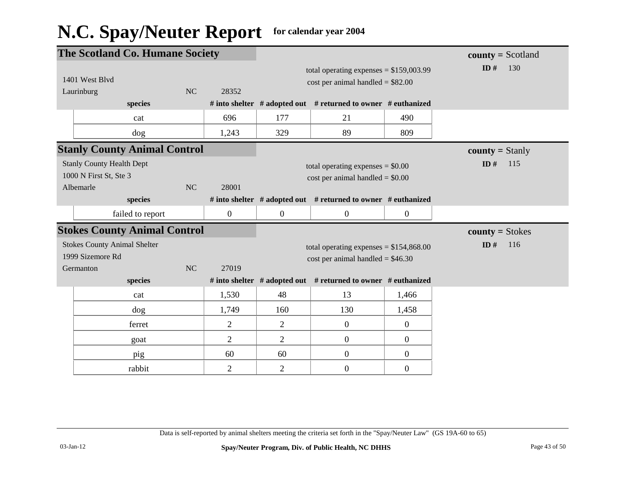|                                                                         | The Scotland Co. Humane Society |                  |                |                                                                                 |                  | $county = Scotland$    |
|-------------------------------------------------------------------------|---------------------------------|------------------|----------------|---------------------------------------------------------------------------------|------------------|------------------------|
| 1401 West Blyd<br>Laurinburg                                            | NC                              | 28352            |                | total operating expenses = $$159,003.99$<br>$cost$ per animal handled = \$82.00 |                  | ID#<br>130             |
| species                                                                 |                                 |                  |                | # into shelter # adopted out # returned to owner # euthanized                   |                  |                        |
| cat                                                                     |                                 | 696              | 177            | 21                                                                              | 490              |                        |
| dog                                                                     |                                 | 1,243            | 329            | 89                                                                              | 809              |                        |
| <b>Stanly County Animal Control</b>                                     |                                 |                  |                |                                                                                 |                  | <b>county</b> = Stanly |
| <b>Stanly County Health Dept</b><br>1000 N First St, Ste 3<br>Albemarle | NC                              | 28001            |                | total operating expenses $= $0.00$<br>$cost$ per animal handled = \$0.00        |                  | ID#<br>115             |
| species                                                                 |                                 |                  |                | # into shelter # adopted out # returned to owner # euthanized                   |                  |                        |
| failed to report                                                        |                                 | $\boldsymbol{0}$ | $\overline{0}$ | $\boldsymbol{0}$                                                                | $\boldsymbol{0}$ |                        |
| <b>Stokes County Animal Control</b>                                     |                                 |                  |                |                                                                                 |                  | $county = Stokes$      |
| <b>Stokes County Animal Shelter</b><br>1999 Sizemore Rd<br>Germanton    | NC                              | 27019            |                | total operating expenses = $$154,868.00$<br>$cost$ per animal handled = \$46.30 |                  | ID $#$<br>116          |
| species                                                                 |                                 |                  |                | # into shelter $#$ adopted out $#$ returned to owner $#$ euthanized             |                  |                        |
| cat                                                                     |                                 | 1,530            | 48             | 13                                                                              | 1,466            |                        |
| dog                                                                     |                                 | 1,749            | 160            | 130                                                                             | 1,458            |                        |
| ferret                                                                  |                                 | $\overline{2}$   | $\overline{2}$ | $\boldsymbol{0}$                                                                | $\overline{0}$   |                        |
| goat                                                                    |                                 | $\overline{2}$   | $\overline{2}$ | $\overline{0}$                                                                  | $\overline{0}$   |                        |
| pig                                                                     |                                 | 60               | 60             | $\boldsymbol{0}$                                                                | $\boldsymbol{0}$ |                        |
| rabbit                                                                  |                                 | $\overline{c}$   | $\sqrt{2}$     | $\boldsymbol{0}$                                                                | $\boldsymbol{0}$ |                        |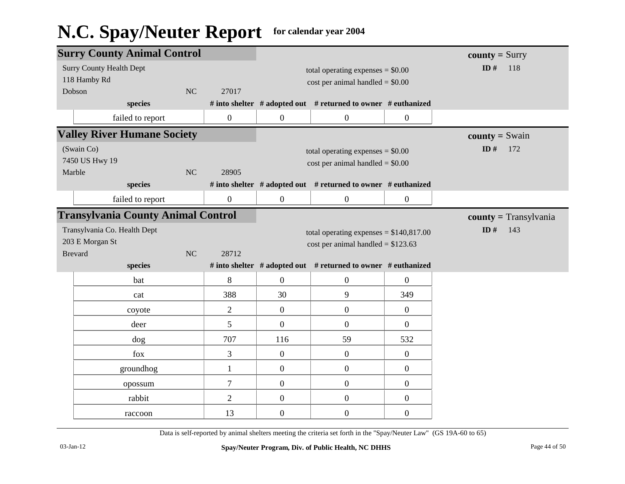| <b>Surry County Animal Control</b>        |                  |                                     |                                                               |                         | $county = Surry$        |
|-------------------------------------------|------------------|-------------------------------------|---------------------------------------------------------------|-------------------------|-------------------------|
| <b>Surry County Health Dept</b>           |                  |                                     | total operating expenses $= $0.00$                            |                         | ID#<br>118              |
| 118 Hamby Rd                              |                  | $cost$ per animal handled = $$0.00$ |                                                               |                         |                         |
| NC<br>Dobson                              | 27017            |                                     |                                                               |                         |                         |
| species                                   |                  |                                     | # into shelter # adopted out # returned to owner # euthanized |                         |                         |
| failed to report                          | $\boldsymbol{0}$ | $\boldsymbol{0}$                    | $\boldsymbol{0}$                                              | $\boldsymbol{0}$        |                         |
| <b>Valley River Humane Society</b>        |                  |                                     |                                                               |                         | <b>county</b> = $Swain$ |
| (Swain Co)                                |                  |                                     | total operating expenses $= $0.00$                            |                         | ID $#$<br>172           |
| 7450 US Hwy 19                            |                  |                                     | $cost$ per animal handled = $$0.00$                           |                         |                         |
| Marble<br>NC                              | 28905            |                                     |                                                               |                         |                         |
| species                                   |                  |                                     | # into shelter # adopted out # returned to owner # euthanized |                         |                         |
| failed to report                          | $\boldsymbol{0}$ | $\boldsymbol{0}$                    | $\boldsymbol{0}$                                              | $\boldsymbol{0}$        |                         |
| <b>Transylvania County Animal Control</b> |                  |                                     |                                                               | $county = Transylvania$ |                         |
| Transylvania Co. Health Dept              |                  |                                     | total operating expenses = $$140,817.00$                      |                         | ID#<br>143              |
| 203 E Morgan St                           |                  |                                     | cost per animal handled = $$123.63$                           |                         |                         |
| NC<br><b>Brevard</b>                      | 28712            |                                     |                                                               |                         |                         |
| species                                   |                  |                                     | # into shelter # adopted out # returned to owner # euthanized |                         |                         |
| bat                                       | 8                | $\mathbf{0}$                        | $\boldsymbol{0}$                                              | $\boldsymbol{0}$        |                         |
| cat                                       | 388              | 30                                  | 9                                                             | 349                     |                         |
| coyote                                    | $\overline{2}$   | $\mathbf{0}$                        | $\boldsymbol{0}$                                              | $\boldsymbol{0}$        |                         |
| deer                                      | 5                | $\overline{0}$                      | $\mathbf{0}$                                                  | $\overline{0}$          |                         |
| dog                                       | 707              | 116                                 | 59                                                            | 532                     |                         |
| fox                                       | 3                | $\boldsymbol{0}$                    | $\mathbf{0}$                                                  | $\boldsymbol{0}$        |                         |
| groundhog                                 | $\mathbf{1}$     | $\boldsymbol{0}$                    | $\mathbf{0}$                                                  | $\boldsymbol{0}$        |                         |
| opossum                                   | $\overline{7}$   | $\overline{0}$                      | $\boldsymbol{0}$                                              | $\boldsymbol{0}$        |                         |
| rabbit                                    | $\overline{2}$   | $\overline{0}$                      | $\mathbf{0}$                                                  | $\boldsymbol{0}$        |                         |
| raccoon                                   | 13               | $\boldsymbol{0}$                    | $\overline{0}$                                                | $\boldsymbol{0}$        |                         |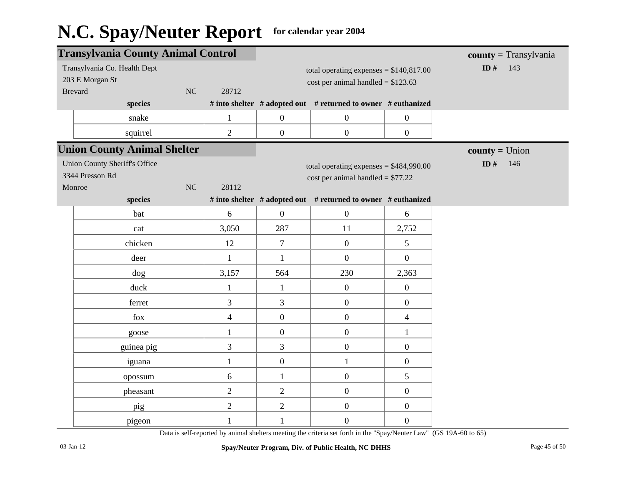|                                                                                  | <b>Transylvania County Animal Control</b>                         |    |                |                  | $county = Transylvania$                                                         |                  |                  |
|----------------------------------------------------------------------------------|-------------------------------------------------------------------|----|----------------|------------------|---------------------------------------------------------------------------------|------------------|------------------|
| Transylvania Co. Health Dept<br>203 E Morgan St<br><b>Brevard</b><br>NC<br>28712 |                                                                   |    |                |                  | total operating expenses = $$140,817.00$<br>cost per animal handled = $$123.63$ | ID $#$<br>143    |                  |
|                                                                                  | species                                                           |    |                |                  | # into shelter # adopted out # returned to owner # euthanized                   |                  |                  |
|                                                                                  | snake                                                             |    | $\mathbf{1}$   | $\boldsymbol{0}$ | $\boldsymbol{0}$                                                                | $\boldsymbol{0}$ |                  |
|                                                                                  | squirrel                                                          |    | $\overline{2}$ | $\boldsymbol{0}$ | $\boldsymbol{0}$                                                                | $\boldsymbol{0}$ |                  |
|                                                                                  | <b>Union County Animal Shelter</b>                                |    |                |                  |                                                                                 |                  | $county = Union$ |
|                                                                                  | <b>Union County Sheriff's Office</b><br>3344 Presson Rd<br>Monroe | NC | 28112          |                  | total operating expenses = $$484,990.00$<br>$cost per animal handled = $77.22$  |                  | ID $#$<br>146    |
|                                                                                  | species                                                           |    |                |                  | # into shelter # adopted out # returned to owner # euthanized                   |                  |                  |
|                                                                                  | bat                                                               |    | 6              | $\overline{0}$   | $\boldsymbol{0}$                                                                | 6                |                  |
|                                                                                  | cat                                                               |    | 3,050          | 287              | 11                                                                              | 2,752            |                  |
|                                                                                  | chicken                                                           |    | 12             | $\overline{7}$   | $\overline{0}$                                                                  | 5                |                  |
|                                                                                  | deer                                                              |    | $\mathbf{1}$   | $\mathbf{1}$     | $\boldsymbol{0}$                                                                | $\overline{0}$   |                  |
|                                                                                  | dog                                                               |    | 3,157          | 564              | 230                                                                             | 2,363            |                  |
|                                                                                  | duck                                                              |    | $\mathbf{1}$   | $\mathbf{1}$     | $\boldsymbol{0}$                                                                | $\overline{0}$   |                  |
|                                                                                  | ferret                                                            |    | 3              | 3                | $\boldsymbol{0}$                                                                | $\mathbf{0}$     |                  |
|                                                                                  | fox                                                               |    | $\overline{4}$ | $\boldsymbol{0}$ | $\boldsymbol{0}$                                                                | $\overline{4}$   |                  |
|                                                                                  | goose                                                             |    | $\mathbf{1}$   | $\boldsymbol{0}$ | $\boldsymbol{0}$                                                                | $\mathbf{1}$     |                  |
|                                                                                  | guinea pig                                                        |    | 3              | 3                | $\boldsymbol{0}$                                                                | $\boldsymbol{0}$ |                  |
|                                                                                  | iguana                                                            |    | $\mathbf{1}$   | $\boldsymbol{0}$ | $\mathbf{1}$                                                                    | $\boldsymbol{0}$ |                  |
|                                                                                  | opossum                                                           |    | 6              | $\mathbf{1}$     | $\boldsymbol{0}$                                                                | 5                |                  |
|                                                                                  | pheasant                                                          |    | $\overline{2}$ | $\overline{2}$   | $\boldsymbol{0}$                                                                | $\mathbf{0}$     |                  |
|                                                                                  | pig                                                               |    | $\overline{2}$ | $\overline{2}$   | $\boldsymbol{0}$                                                                | $\boldsymbol{0}$ |                  |
|                                                                                  | pigeon                                                            |    | $\mathbf{1}$   | $\mathbf{1}$     | $\boldsymbol{0}$                                                                | $\boldsymbol{0}$ |                  |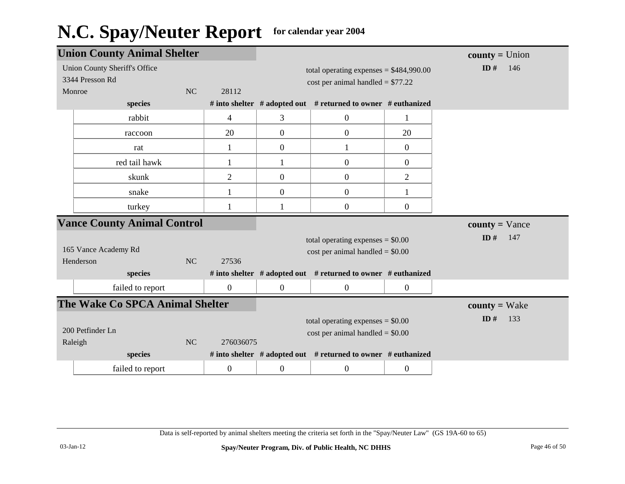|                                    | <b>Union County Animal Shelter</b> |           |                |                                          | $county = Union$                                                    |                  |                         |
|------------------------------------|------------------------------------|-----------|----------------|------------------------------------------|---------------------------------------------------------------------|------------------|-------------------------|
|                                    | Union County Sheriff's Office      |           |                | total operating expenses = $$484,990.00$ |                                                                     |                  | ID#<br>146              |
|                                    | 3344 Presson Rd                    |           |                | cost per animal handled = $$77.22$       |                                                                     |                  |                         |
|                                    | Monroe                             | <b>NC</b> | 28112          |                                          |                                                                     |                  |                         |
|                                    | species                            |           |                |                                          | # into shelter # adopted out # returned to owner # euthanized       |                  |                         |
|                                    | rabbit                             |           | 4              | 3                                        | $\overline{0}$                                                      | 1                |                         |
|                                    | raccoon                            |           | 20             | $\overline{0}$                           | $\boldsymbol{0}$                                                    | 20               |                         |
|                                    | rat                                |           |                | $\overline{0}$                           | $\mathbf{1}$                                                        | $\boldsymbol{0}$ |                         |
|                                    | red tail hawk                      |           | 1              | $\mathbf{1}$                             | $\boldsymbol{0}$                                                    | $\boldsymbol{0}$ |                         |
|                                    | skunk                              |           | $\overline{2}$ | $\boldsymbol{0}$                         | $\boldsymbol{0}$                                                    | $\mathbf{2}$     |                         |
|                                    | snake                              |           |                | $\boldsymbol{0}$                         | $\boldsymbol{0}$                                                    |                  |                         |
|                                    | turkey                             |           | 1              |                                          | $\boldsymbol{0}$                                                    | $\overline{0}$   |                         |
| <b>Vance County Animal Control</b> |                                    |           |                |                                          |                                                                     |                  |                         |
|                                    |                                    |           |                |                                          |                                                                     |                  | $county = \text{Vance}$ |
|                                    |                                    |           |                |                                          |                                                                     |                  | ID#<br>147              |
|                                    | 165 Vance Academy Rd               |           |                |                                          | total operating expenses $= $0.00$                                  |                  |                         |
|                                    | Henderson                          | NC        | 27536          |                                          | $cost$ per animal handled = \$0.00                                  |                  |                         |
|                                    | species                            |           |                |                                          | # into shelter $#$ adopted out $#$ returned to owner $#$ euthanized |                  |                         |
|                                    | failed to report                   |           | $\mathbf{0}$   | $\boldsymbol{0}$                         | $\boldsymbol{0}$                                                    | $\overline{0}$   |                         |
|                                    | The Wake Co SPCA Animal Shelter    |           |                |                                          |                                                                     |                  | $county = Wake$         |
|                                    |                                    |           |                |                                          |                                                                     |                  | ID $#$<br>133           |
|                                    | 200 Petfinder Ln                   |           |                |                                          | total operating expenses $= $0.00$                                  |                  |                         |
|                                    | Raleigh                            | NC        | 276036075      |                                          | $cost$ per animal handled = \$0.00                                  |                  |                         |
|                                    | species                            |           |                |                                          | # into shelter $#$ adopted out $#$ returned to owner $#$ euthanized |                  |                         |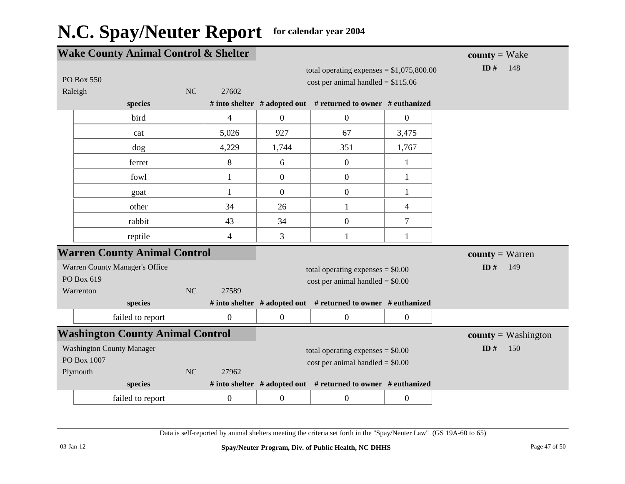| <b>Wake County Animal Control &amp; Shelter</b> |                  |                  |                                    |                                                               |                  | $county = Wake$       |
|-------------------------------------------------|------------------|------------------|------------------------------------|---------------------------------------------------------------|------------------|-----------------------|
|                                                 |                  |                  |                                    | total operating expenses = $$1,075,800.00$                    |                  | ID $#$<br>148         |
| PO Box 550                                      |                  |                  |                                    | cost per animal handled = $$115.06$                           |                  |                       |
| Raleigh                                         | NC               | 27602            |                                    |                                                               |                  |                       |
|                                                 | species          |                  |                                    | # into shelter # adopted out # returned to owner # euthanized |                  |                       |
|                                                 | bird             | $\overline{4}$   | $\overline{0}$                     | $\mathbf{0}$                                                  | $\boldsymbol{0}$ |                       |
|                                                 | cat              | 5,026            | 927                                | 67                                                            | 3,475            |                       |
|                                                 | dog              | 4,229            | 1,744                              | 351                                                           | 1,767            |                       |
|                                                 | ferret           | 8                | 6                                  | $\mathbf{0}$                                                  | $\mathbf{1}$     |                       |
|                                                 | fowl             | $\mathbf{1}$     | $\mathbf{0}$                       | $\mathbf{0}$                                                  | 1                |                       |
|                                                 | goat             | $\mathbf{1}$     | $\boldsymbol{0}$                   | $\boldsymbol{0}$                                              | $\mathbf{1}$     |                       |
|                                                 | other            | 34               | 26                                 | $\mathbf{1}$                                                  | 4                |                       |
|                                                 | rabbit           | 43               | 34                                 | $\boldsymbol{0}$                                              | $\overline{7}$   |                       |
|                                                 | reptile          | 4                | 3                                  | $\mathbf{1}$                                                  | 1                |                       |
| <b>Warren County Animal Control</b>             |                  |                  |                                    |                                                               |                  | $county = Warren$     |
| Warren County Manager's Office                  |                  |                  | total operating expenses $= $0.00$ |                                                               |                  | ID#<br>149            |
| PO Box 619                                      |                  |                  | $cost$ per animal handled = \$0.00 |                                                               |                  |                       |
| Warrenton                                       | NC               | 27589            |                                    |                                                               |                  |                       |
|                                                 | species          |                  |                                    | # into shelter # adopted out # returned to owner # euthanized |                  |                       |
|                                                 | failed to report | $\boldsymbol{0}$ | $\mathbf{0}$                       | $\overline{0}$                                                | $\boldsymbol{0}$ |                       |
| <b>Washington County Animal Control</b>         |                  |                  |                                    |                                                               |                  | $county = Washington$ |
| <b>Washington County Manager</b>                |                  |                  |                                    | total operating expenses $= $0.00$                            |                  | ID $#$<br>150         |
| PO Box 1007                                     |                  |                  |                                    | $cost$ per animal handled = \$0.00                            |                  |                       |
| Plymouth                                        | NC               | 27962            |                                    |                                                               |                  |                       |
|                                                 | species          |                  |                                    | # into shelter # adopted out # returned to owner # euthanized |                  |                       |
|                                                 | failed to report | $\boldsymbol{0}$ | $\mathbf{0}$                       | $\boldsymbol{0}$                                              | $\overline{0}$   |                       |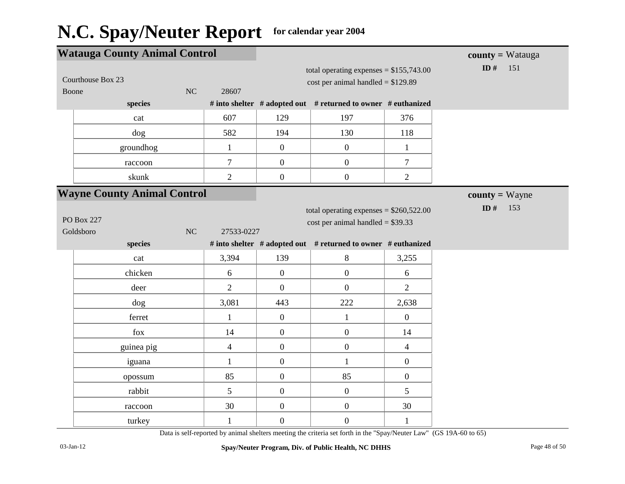| <b>Watauga County Animal Control</b> |                                      |                  |                  |                                                                                 |                  | <b>county</b> = Watauga |
|--------------------------------------|--------------------------------------|------------------|------------------|---------------------------------------------------------------------------------|------------------|-------------------------|
|                                      | Courthouse Box 23<br>NC<br>Boone     |                  |                  | total operating expenses = $$155,743.00$<br>cost per animal handled = $$129.89$ |                  | ID#<br>151              |
|                                      | species                              |                  |                  | # into shelter # adopted out # returned to owner # euthanized                   |                  |                         |
|                                      | cat                                  | 607              | 129              | 197                                                                             | 376              |                         |
|                                      | dog                                  | 582              | 194              | 130                                                                             | 118              |                         |
|                                      | groundhog                            | $\mathbf{1}$     | $\boldsymbol{0}$ | $\boldsymbol{0}$                                                                | $\mathbf{1}$     |                         |
|                                      | raccoon                              | $\boldsymbol{7}$ | $\overline{0}$   | $\boldsymbol{0}$                                                                | $\boldsymbol{7}$ |                         |
|                                      | skunk                                | $\overline{2}$   | $\boldsymbol{0}$ | $\boldsymbol{0}$                                                                | $\overline{2}$   |                         |
|                                      | <b>Wayne County Animal Control</b>   |                  |                  |                                                                                 |                  | <b>county</b> = Wayne   |
|                                      | <b>PO Box 227</b><br>NC<br>Goldsboro | 27533-0227       |                  | total operating expenses = $$260,522.00$<br>cost per animal handled = $$39.33$  |                  | ID $#$<br>153           |
|                                      | species                              |                  |                  | # into shelter # adopted out # returned to owner # euthanized                   |                  |                         |
|                                      | cat                                  | 3,394            | 139              | $8\,$                                                                           | 3,255            |                         |
|                                      | chicken                              |                  |                  |                                                                                 |                  |                         |
|                                      |                                      | 6                | $\mathbf{0}$     | $\boldsymbol{0}$                                                                | 6                |                         |
|                                      | deer                                 | $\overline{2}$   | $\overline{0}$   | $\boldsymbol{0}$                                                                | $\overline{2}$   |                         |
|                                      | dog                                  | 3,081            | 443              | 222                                                                             | 2,638            |                         |
|                                      | ferret                               | $\mathbf{1}$     | $\mathbf{0}$     | $\mathbf{1}$                                                                    | $\overline{0}$   |                         |
|                                      | fox                                  | 14               | $\boldsymbol{0}$ | $\boldsymbol{0}$                                                                | 14               |                         |
|                                      | guinea pig                           | $\overline{4}$   | $\boldsymbol{0}$ | $\boldsymbol{0}$                                                                | $\overline{4}$   |                         |
|                                      | iguana                               | $\mathbf{1}$     | $\boldsymbol{0}$ | $\mathbf{1}$                                                                    | $\boldsymbol{0}$ |                         |
|                                      | opossum                              | 85               | $\boldsymbol{0}$ | 85                                                                              | $\boldsymbol{0}$ |                         |
|                                      | rabbit                               | 5                | $\boldsymbol{0}$ | $\boldsymbol{0}$                                                                | 5                |                         |
|                                      | raccoon                              | 30               | $\boldsymbol{0}$ | $\boldsymbol{0}$                                                                | 30               |                         |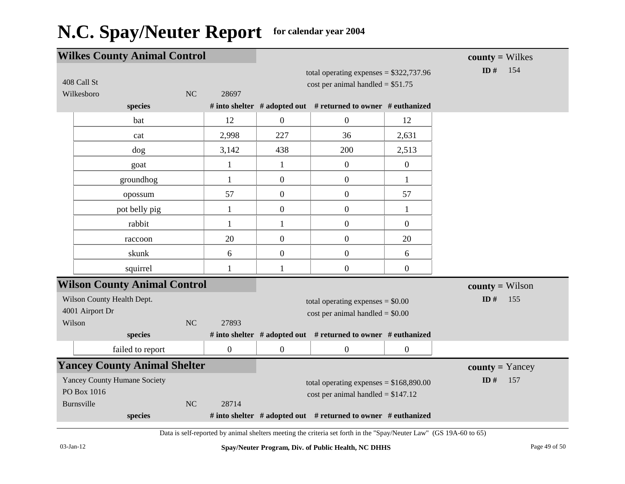| <b>Wilkes County Animal Control</b>                |                  |                  |                                                               |                  | $county = Wilkes$      |
|----------------------------------------------------|------------------|------------------|---------------------------------------------------------------|------------------|------------------------|
| 408 Call St                                        |                  |                  | total operating expenses = $$322,737.96$                      |                  | ID $#$<br>154          |
| Wilkesboro                                         | NC<br>28697      |                  | cost per animal handled = $$51.75$                            |                  |                        |
| species                                            |                  |                  | # into shelter # adopted out # returned to owner # euthanized |                  |                        |
| bat                                                | 12               | $\mathbf{0}$     | $\boldsymbol{0}$                                              | 12               |                        |
| cat                                                | 2,998            | 227              | 36                                                            | 2,631            |                        |
| dog                                                | 3,142            | 438              | 200                                                           | 2,513            |                        |
| goat                                               | $\mathbf{1}$     | $\mathbf{1}$     | $\boldsymbol{0}$                                              | $\boldsymbol{0}$ |                        |
| groundhog                                          | $\mathbf{1}$     | $\overline{0}$   | $\boldsymbol{0}$                                              | $\mathbf{1}$     |                        |
| opossum                                            | 57               | $\overline{0}$   | $\boldsymbol{0}$                                              | 57               |                        |
| pot belly pig                                      | 1                | $\overline{0}$   | $\boldsymbol{0}$                                              | 1                |                        |
| rabbit                                             | $\mathbf{1}$     | $\mathbf{1}$     | $\boldsymbol{0}$                                              | $\boldsymbol{0}$ |                        |
| raccoon                                            | 20               | $\mathbf{0}$     | $\boldsymbol{0}$                                              | 20               |                        |
| skunk                                              | 6                | $\overline{0}$   | $\boldsymbol{0}$                                              | 6                |                        |
| squirrel                                           | 1                | 1                | $\boldsymbol{0}$                                              | $\boldsymbol{0}$ |                        |
| <b>Wilson County Animal Control</b>                |                  |                  |                                                               |                  | $county = Wilson$      |
| Wilson County Health Dept.                         |                  |                  | total operating expenses $= $0.00$                            |                  | ID $#$<br>155          |
| 4001 Airport Dr                                    |                  |                  | $cost$ per animal handled = \$0.00                            |                  |                        |
| Wilson<br>species                                  | NC<br>27893      |                  | # into shelter # adopted out # returned to owner # euthanized |                  |                        |
| failed to report                                   | $\boldsymbol{0}$ | $\boldsymbol{0}$ | $\boldsymbol{0}$                                              | $\overline{0}$   |                        |
| <b>Yancey County Animal Shelter</b>                |                  |                  |                                                               |                  |                        |
|                                                    |                  |                  |                                                               |                  | <b>county</b> = Yancey |
| <b>Yancey County Humane Society</b><br>PO Box 1016 |                  |                  | total operating expenses = $$168,890.00$                      |                  | ID $#$<br>157          |
| Burnsville                                         | NC<br>28714      |                  | cost per animal handled = $$147.12$                           |                  |                        |
| species                                            |                  |                  | # into shelter # adopted out # returned to owner # euthanized |                  |                        |